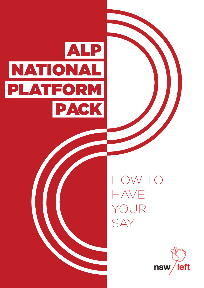



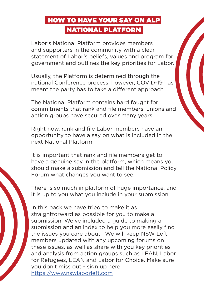# HOW TO HAVE YOUR SAY ON ALP NATIONAL PLATFORM

Labor's National Platform provides members and supporters in the community with a clear statement of Labor's beliefs, values and program for government and outlines the key priorities for Labor.

Usually, the Platform is determined through the national Conference process, however, COVID-19 has meant the party has to take a different approach.

The National Platform contains hard fought for commitments that rank and file members, unions and action groups have secured over many years.

Right now, rank and file Labor members have an opportunity to have a say on what is included in the next National Platform.

It is important that rank and file members get to have a genuine say in the platform, which means you should make a submission and tell the National Policy Forum what changes you want to see.

There is so much in platform of huge importance, and it is up to you what you include in your submission.

In this pack we have tried to make it as straightforward as possible for you to make a submission. We've included a guide to making a submission and an index to help you more easily find the issues you care about. We will keep NSW Left members updated with any upcoming forums on these issues, as well as share with you key priorities and analysis from action groups such as LEAN, Labor for Refugees, LEAN and Labor for Choice. Make sure you don't miss out - sign up here: https://www.nswlaborleft.com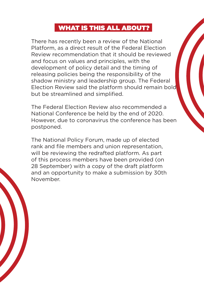#### WHAT IS THIS ALL ABOUT?

There has recently been a review of the National Platform, as a direct result of the Federal Election Review recommendation that it should be reviewed and focus on values and principles, with the development of policy detail and the timing of releasing policies being the responsibility of the shadow ministry and leadership group. The Federal Election Review said the platform should remain bold but be streamlined and simplified.

The Federal Election Review also recommended a National Conference be held by the end of 2020. However, due to coronavirus the conference has been postponed.

The National Policy Forum, made up of elected rank and file members and union representation, will be reviewing the redrafted platform. As part of this process members have been provided (on 28 September) with a copy of the draft platform and an opportunity to make a submission by 30th November.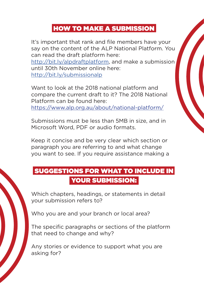#### HOW TO MAKE A SUBMISSION

It's important that rank and file members have your say on the content of the ALP National Platform. You can read the draft platform here:

http://bit.ly/alpdraftplatform, and make a submission until 30th November online here: http://bit.ly/submissionalp

Want to look at the 2018 national platform and compare the current draft to it? The 2018 National Platform can be found here: https://www.alp.org.au/about/national-platform/

Submissions must be less than 5MB in size, and in Microsoft Word, PDF or audio formats.

Keep it concise and be very clear which section or paragraph you are referring to and what change you want to see. If you require assistance making a

### SUGGESTIONS FOR WHAT TO INCLUDE IN YOUR SUBMISSION:

Which chapters, headings, or statements in detail your submission refers to?

Who you are and your branch or local area?

The specific paragraphs or sections of the platform that need to change and why?

Any stories or evidence to support what you are asking for?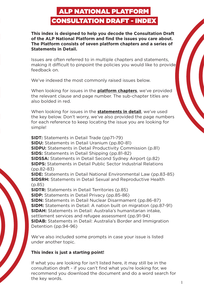## ALP NATIONAL PLATFORM CONSULTATION DRAFT - INDEX

**This index is designed to help you decode the Consultation Draft of the ALP National Platform and find the issues you care about. The Platform consists of seven platform chapters and a series of Statements in Detail.**

Issues are often referred to in multiple chapters and statements, making it difficult to pinpoint the policies you would like to provide feedback on.

We've indexed the most commonly raised issues below.

When looking for issues in the **platform chapters**, we've provided the relevant clause and page number. The sub-chapter titles are also bolded in red.

When looking for issues in the **statements in detail**, we've used the key below. Don't worry, we've also provided the page numbers for each reference to keep locating the issue you are looking for simple!

**SIDT:** Statements in Detail Trade (pp71-79) **SIDU:** Statements in Detail Uranium (pp.80-81) **SIDPU:** Statements in Detail Productivity Commission (p.81) **SIDS:** Statements in Detail Shipping (pp.81-82) **SIDSSA:** Statements in Detail Second Sydney Airport (p.82) **SIDPS:** Statements in Detail Public Sector Industrial Relations (pp.82-83) **SIDE:** Statements in Detail National Environmental Law (pp.83-85) **SIDSRH:** Statements in Detail Sexual and Reproductive Health (p.85) **SIDTR:** Statements in Detail Territories (p.85) **SIDP:** Statements in Detail Privacy (pp.85-86) **SIDN:** Statements in Detail Nuclear Disarmament (pp.86-87) **SIDM:** Statements in Detail: A nation built on migration (pp.87-91) **SIDAH:** Statements in Detail: Australia's humanitarian intake, settlement services and refugee assessment (pp.91-94) **SIDAB:** Statements in Detail: Australia's Border and Immigration Detention (pp.94-96)

We've also included some prompts in case your issue is listed under another topic.

#### **This index is just a starting point!**

If what you are looking for isn't listed here, it may still be in the consultation draft - if you can't find what you're looking for, we recommend you download the document and do a word search for the key words.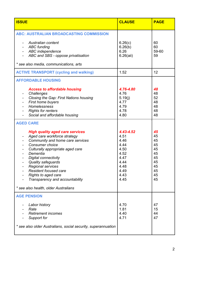| <b>ISSUE</b>                                                                                                                                                                                                                                                                                                                                                                                                                                                                                                         | <b>CLAUSE</b>                                                                                                             | <b>PAGE</b>                                                                      |
|----------------------------------------------------------------------------------------------------------------------------------------------------------------------------------------------------------------------------------------------------------------------------------------------------------------------------------------------------------------------------------------------------------------------------------------------------------------------------------------------------------------------|---------------------------------------------------------------------------------------------------------------------------|----------------------------------------------------------------------------------|
| <b>ABC: AUSTRALIAN BROADCASTING COMMISSION</b>                                                                                                                                                                                                                                                                                                                                                                                                                                                                       |                                                                                                                           |                                                                                  |
| Australian content<br><b>ABC funding</b><br>$\sim$<br><b>ABC</b> independence<br>ABC and SBS - oppose privatisation<br>* see also media, communications, arts                                                                                                                                                                                                                                                                                                                                                        | 6.26(c)<br>6.26(b)<br>6.26<br>$6.26$ (aii)                                                                                | 60<br>60<br>59-60<br>59                                                          |
| <b>ACTIVE TRANSPORT (cycling and walking)</b>                                                                                                                                                                                                                                                                                                                                                                                                                                                                        | 1.52                                                                                                                      | 12                                                                               |
| <b>AFFORDABLE HOUSING</b>                                                                                                                                                                                                                                                                                                                                                                                                                                                                                            |                                                                                                                           |                                                                                  |
| <b>Access to affordable housing</b><br>Challenges<br>Closing the Gap: First Nations housing<br>$\blacksquare$<br>First home buyers<br>$\blacksquare$<br>Homelessness<br><b>Rights for renters</b><br>Social and affordable housing<br><b>AGED CARE</b><br><b>High quality aged care services</b><br>Aged care workforce strategy<br>Community and home care services<br>$\blacksquare$<br>Consumer choice<br>Culturally appropriate aged care<br>$\overline{\phantom{a}}$<br>Dementia<br><b>Digital connectivity</b> | 4.76-4.80<br>4.76<br>5.19(j)<br>4.77<br>4.79<br>4.78<br>4.80<br>4.43-4.52<br>4.51<br>4.46<br>4.44<br>4.50<br>4.52<br>4.47 | 48<br>48<br>52<br>48<br>48<br>48<br>48<br>45<br>45<br>45<br>45<br>45<br>45<br>45 |
| <b>Quality safeguards</b><br>Regional services<br>Resident focused care<br>Rights to aged care<br>Transparency and accountability                                                                                                                                                                                                                                                                                                                                                                                    | 4.44<br>4.48<br>4.49<br>4.43<br>4.45                                                                                      | 45<br>45<br>45<br>45<br>45                                                       |
| * see also health, older Australians                                                                                                                                                                                                                                                                                                                                                                                                                                                                                 |                                                                                                                           |                                                                                  |
| <b>AGE PENSION</b><br>Labor history<br>Rate<br><b>Retirement incomes</b><br>Support for<br>* see also older Australians, social security, superannuation                                                                                                                                                                                                                                                                                                                                                             | 4.70<br>1.81<br>4.40<br>4.71                                                                                              | 47<br>15<br>44<br>47                                                             |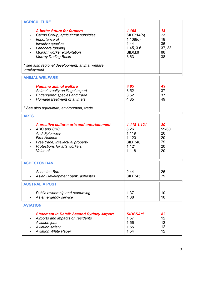| <b>AGRICULTURE</b>                                                                                                                                                                                                                                                                    |                                                                           |                                            |
|---------------------------------------------------------------------------------------------------------------------------------------------------------------------------------------------------------------------------------------------------------------------------------------|---------------------------------------------------------------------------|--------------------------------------------|
| A better future for farmers<br>Cairns Group, agricultural subsidies<br>Importance of<br>Invasive species<br>Landcare funding<br><b>Migrant worker exploitation</b><br>$\blacksquare$<br><b>Murray Darling Basin</b><br>* see also regional development, animal welfare,<br>employment | 1.108<br>SIDT:14(b)<br>1.108(d)<br>1.44<br>1.45, 3.6<br>SIDM:8<br>3.63    | 18<br>73<br>18<br>36<br>37, 38<br>88<br>38 |
| <b>ANIMAL WELFARE</b>                                                                                                                                                                                                                                                                 |                                                                           |                                            |
| <b>Humane animal welfare</b><br>Animal cruelty an illegal export<br>Endangered species and trade<br>Humane treatment of animals<br>* See also agriculture, environment, trade                                                                                                         | 4.85<br>3.52<br>3.52<br>4.85                                              | 49<br>37<br>37<br>49                       |
| <b>ARTS</b>                                                                                                                                                                                                                                                                           |                                                                           |                                            |
| A creative culture: arts and entertainment<br><b>ABC and SBS</b><br>And diplomacy<br><b>First Nations</b><br>Free trade, intellectual property<br><b>Protections for arts workers</b><br>Value of                                                                                     | 1.118-1.121<br>6.26<br>1.119<br>1.120<br><b>SIDT:40</b><br>1.121<br>1.118 | 20<br>59-60<br>20<br>20<br>79<br>20<br>20  |
| <b>ASBESTOS BAN</b>                                                                                                                                                                                                                                                                   |                                                                           |                                            |
| Asbestos Ban<br>Asian Development bank, asbestos                                                                                                                                                                                                                                      | 2.44<br><b>SIDT:45</b>                                                    | 26<br>79                                   |
| <b>AUSTRALIA POST</b>                                                                                                                                                                                                                                                                 |                                                                           |                                            |
| Public ownership and resourcing<br>As emergency service                                                                                                                                                                                                                               | 1.37<br>1.38                                                              | 10<br>10                                   |
| <b>AVIATION</b>                                                                                                                                                                                                                                                                       |                                                                           |                                            |
| <b>Statement in Detail: Second Sydney Airport</b><br>Airports and impacts on residents<br>Aviation jobs<br>Aviation safety<br><b>Aviation White Paper</b>                                                                                                                             | <b>SIDSSA:1</b><br>1.57<br>1.56<br>1.55<br>1.54                           | 82<br>12<br>12<br>12<br>12                 |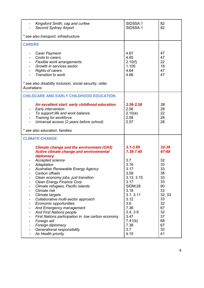| Kingsford Smith, cap and curfew<br><b>Second Sydney Airport</b>                                                                                                                                                                                                                                                                                                                                                                                                                                                 | SIDSSA:1<br>SIDSSA:1                                                                                                                           | 82<br>82                                                                                   |
|-----------------------------------------------------------------------------------------------------------------------------------------------------------------------------------------------------------------------------------------------------------------------------------------------------------------------------------------------------------------------------------------------------------------------------------------------------------------------------------------------------------------|------------------------------------------------------------------------------------------------------------------------------------------------|--------------------------------------------------------------------------------------------|
| * see also transport, infrastructure                                                                                                                                                                                                                                                                                                                                                                                                                                                                            |                                                                                                                                                |                                                                                            |
| <b>CARERS</b>                                                                                                                                                                                                                                                                                                                                                                                                                                                                                                   |                                                                                                                                                |                                                                                            |
| <b>Carer Payment</b><br>Costs to carers<br>Flexible work arrangements<br>Growth in services sector<br><b>Rights of carers</b><br>Transition to work<br>* see also disability inclusion, social security, older<br><b>Australians</b>                                                                                                                                                                                                                                                                            | 4.67<br>4.65<br>2.10(f)<br>1.105<br>4.64<br>4.66                                                                                               | 47<br>47<br>22<br>18<br>47<br>47                                                           |
| <b>CHILDCARE AND EARLY CHILDHOOD EDUCATION</b>                                                                                                                                                                                                                                                                                                                                                                                                                                                                  |                                                                                                                                                |                                                                                            |
| An excellent start: early childhood education<br>Early intervention<br>To support life and work balance<br>Training for workforce<br>$\blacksquare$<br>Universal access (2 years before school)<br>* see also education, families                                                                                                                                                                                                                                                                               | $2.56 - 2.58$<br>2.56<br>2.10(e)<br>2.58<br>2.57                                                                                               | 28<br>28<br>22<br>28<br>28                                                                 |
| <b>CLIMATE CHANGE</b>                                                                                                                                                                                                                                                                                                                                                                                                                                                                                           |                                                                                                                                                |                                                                                            |
| <b>Climate change and the environment (CH3)</b><br><b>Active climate change and environmental</b><br>diplomacy<br>Accepted science<br>Adaptation                                                                                                                                                                                                                                                                                                                                                                | $3.1 - 3.69$<br>7.38-7.40<br>3.7<br>3.16                                                                                                       | 32-39<br>67-68<br>32<br>33                                                                 |
| Australian Renewable Energy Agency                                                                                                                                                                                                                                                                                                                                                                                                                                                                              | 3.17                                                                                                                                           | 33                                                                                         |
| Carbon offsets<br>Clean economy jobs, just transition<br>$\overline{\phantom{0}}$<br>Clean Energy Finance Corp<br>$\overline{\phantom{0}}$<br>Climate refugees, Pacific islands<br>-<br>Climate risk<br>Climate targets<br>Collaborative multi-sector approach<br>Economic opportunities<br>And Emergency management<br>-<br><b>And First Nations people</b><br>First Nations participation in low carbon economy<br>۰<br>Foreign aid<br>Foreign diplomacy<br>Generational responsibility<br>As Health priority | 3.59<br>3.13, 3.15<br>3.17<br><b>SIDM:28</b><br>3.18<br>3.1, 3.11<br>3.12<br>3.6<br>7.36<br>3.4, 3.9<br>3.47<br>7.41(b)<br>7.38<br>3.7<br>4.10 | 38<br>33<br>33<br>90<br>33<br>32, 33<br>33<br>32<br>67<br>32<br>37<br>68<br>67<br>32<br>41 |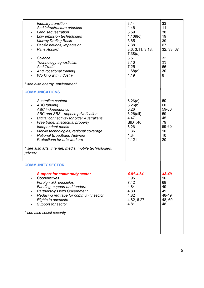| Industry transition<br>And infrastructure priorities<br>۰<br>Land sequestration<br>$\qquad \qquad \blacksquare$<br>Low emission technologies<br>$\qquad \qquad \blacksquare$<br><b>Murray Darling Basin</b><br>Pacific nations, impacts on<br>Paris Accord<br><b>Science</b><br>Technology agnosticism<br>And Trade<br>And vocational training<br>Working with industry<br>* see also energy, environment                                                                                                                                            | 3.14<br>1.46<br>3.59<br>1.109(c)<br>3.65<br>7.38<br>3.6, 3.11, 3.18,<br>7.38(a)<br>3.5<br>3.10<br>7.25<br>1.68(d)<br>1.19 | 33<br>11<br>38<br>19<br>39<br>67<br>32, 33, 67<br>32<br>33<br>66<br>30<br>8 |
|------------------------------------------------------------------------------------------------------------------------------------------------------------------------------------------------------------------------------------------------------------------------------------------------------------------------------------------------------------------------------------------------------------------------------------------------------------------------------------------------------------------------------------------------------|---------------------------------------------------------------------------------------------------------------------------|-----------------------------------------------------------------------------|
| <b>COMMUNICATIONS</b>                                                                                                                                                                                                                                                                                                                                                                                                                                                                                                                                |                                                                                                                           |                                                                             |
| Australian content<br><b>ABC</b> funding<br>ABC independence<br>$\qquad \qquad \blacksquare$<br>ABC and SBS - oppose privatisation<br>$\overline{\phantom{0}}$<br>Digital connectivity for older Australians<br>$\qquad \qquad \blacksquare$<br>Free trade, intellectual property<br>$\blacksquare$<br>Independent media<br>$\qquad \qquad \blacksquare$<br>Mobile technologies, regional coverage<br><b>National Broadband Network</b><br><b>Protections for arts workers</b><br>* see also arts, internet, media, mobile technologies,<br>privacy. | 6.26(c)<br>6.26(b)<br>6.26<br>$6.26$ (aii)<br>4.47<br><b>SIDT:40</b><br>6.26<br>1.36<br>1.34<br>1.121                     | 60<br>60<br>59-60<br>59<br>45<br>79<br>59-60<br>10<br>10<br>20              |
| <b>COMMUNITY SECTOR</b>                                                                                                                                                                                                                                                                                                                                                                                                                                                                                                                              |                                                                                                                           |                                                                             |
| <b>Support for community sector</b><br>Cooperatives<br>Foreign aid, principles<br>Funding, support and tenders<br><b>Partnerships with Government</b><br>Reducing red tape for community sector<br><b>Rights to advocate</b><br>Support for sector<br>* see also social security                                                                                                                                                                                                                                                                     | 4.81-4.84<br>1.95<br>7.42<br>4.84<br>4.83<br>4.82<br>4.82, 6.27<br>4.81                                                   | 48-49<br>16<br>68<br>49<br>49<br>48-49<br>48,60<br>48                       |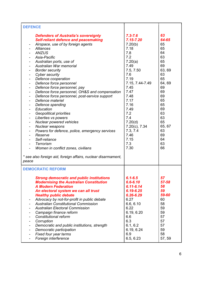| <b>DEFENCE</b>                                                                                                                                                                                                                                                                                                                                                                                                                                                                                                                                                                                                                                                                                                                                                                                                                                                                                                                  |                                                                                                                                                                                                                                                                      |                                                                                                                                                                              |
|---------------------------------------------------------------------------------------------------------------------------------------------------------------------------------------------------------------------------------------------------------------------------------------------------------------------------------------------------------------------------------------------------------------------------------------------------------------------------------------------------------------------------------------------------------------------------------------------------------------------------------------------------------------------------------------------------------------------------------------------------------------------------------------------------------------------------------------------------------------------------------------------------------------------------------|----------------------------------------------------------------------------------------------------------------------------------------------------------------------------------------------------------------------------------------------------------------------|------------------------------------------------------------------------------------------------------------------------------------------------------------------------------|
| <b>Defenders of Australia's sovereignty</b><br><b>Self-reliant defence and peacemaking</b><br>Airspace, use of by foreign agents<br>Alliances<br><b>ANZUS</b><br>Asia-Pacific<br>Australian ports, use of<br>Australian War memorial<br><b>Border security</b><br>Cyber security<br>$\overline{a}$<br>Defence cooperation<br>$\blacksquare$<br>Defence force personnel<br>$\overline{a}$<br>Defence force personnel, pay<br>Defence force personnel, OH&S and compensation<br>Defence force personnel, post-service support<br>Defence materiel<br>Defence spending<br>Education<br><b>Geopolitical priorities</b><br>Liberties vs powers<br>$\overline{\phantom{a}}$<br>Nuclear powered vehicles<br>Nuclear weapons<br>Powers for defence, police, emergency services<br>Reserve<br>Self-reliance<br>Terrorism<br>Women in conflict zones, civilians<br>* see also foreign aid, foreign affairs, nuclear disarmament,<br>peace | $7.3 - 7.6$<br>$7.15 - 7.20$<br>7.20(b)<br>7.18<br>7.8<br>7.2<br>7.20(a)<br>7.49<br>7.5, 7.50<br>7.6<br>7.19<br>7.15, 7.44-7.49<br>7.45<br>7.47<br>7.48<br>7.17<br>7.16<br>7.49<br>7.2<br>7.4<br>7.20(d)<br>7.20(c), 7.34<br>7.3, 7.4<br>7.46<br>7.15<br>7.3<br>7.30 | 63<br>64-65<br>65<br>65<br>64<br>63<br>65<br>69<br>63, 69<br>63<br>65<br>64,69<br>69<br>69<br>69<br>65<br>65<br>69<br>63<br>63<br>65<br>65, 67<br>63<br>69<br>64<br>63<br>66 |
| <b>DEMOCRATIC REFORM</b>                                                                                                                                                                                                                                                                                                                                                                                                                                                                                                                                                                                                                                                                                                                                                                                                                                                                                                        |                                                                                                                                                                                                                                                                      |                                                                                                                                                                              |
| <b>Strong democratic and public institutions</b><br><b>Modernising the Australian Constitution</b><br><b>A Modern Federation</b><br>An electoral system we can all trust<br><b>Healthy public debate</b><br>Advocacy by not-for-profit in public debate<br>$\overline{\phantom{a}}$<br><b>Australian Constitutional Commission</b><br><b>Australian Electoral Commission</b><br>Campaign finance reform<br>Constitutional reform<br>Corruption<br>Democratic and public institutions, strength<br>Democratic participation<br>Fixed four year terms<br>$\overline{\phantom{a}}$<br>Foreign interference                                                                                                                                                                                                                                                                                                                         | $6.1 - 6.5$<br>$6.6 - 6.10$<br>$6.11 - 6.14$<br>$6.19 - 6.25$<br>$6.26 - 6.29$<br>6.27<br>6.6, 6.10<br>6.22<br>6.19, 6.20<br>6.6<br>6.3<br>6.1, 6.2<br>6.19, 6.24<br>6.9<br>6.5, 6.23                                                                                | 57<br>57-58<br>58<br>59<br>59-60<br>60<br>58<br>59<br>59<br>57<br>57<br>57<br>59<br>58<br>57, 59                                                                             |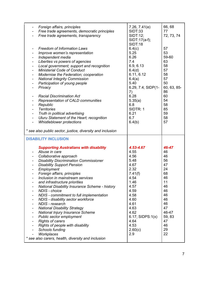| Foreign affairs, principles<br>۰<br>Free trade agreements, democratic principles<br>Free trade agreements, transparency                                                                                                                                                                                                                                                                                                                                                                                                                                                                                                                                                                                                                                                                                                                                                                                   | 7.26, 7.41(e)<br><b>SIDT:33</b><br>SIDT:12;<br>SIDT:17(a-f);<br><b>SIDT:18</b>                                                                                                                  | 66,68<br>77<br>72, 73, 74                                                                                                            |
|-----------------------------------------------------------------------------------------------------------------------------------------------------------------------------------------------------------------------------------------------------------------------------------------------------------------------------------------------------------------------------------------------------------------------------------------------------------------------------------------------------------------------------------------------------------------------------------------------------------------------------------------------------------------------------------------------------------------------------------------------------------------------------------------------------------------------------------------------------------------------------------------------------------|-------------------------------------------------------------------------------------------------------------------------------------------------------------------------------------------------|--------------------------------------------------------------------------------------------------------------------------------------|
| <b>Freedom of Information Laws</b><br>Improve women's representation<br>Independent media<br>۰<br>Liberties vs powers of agencies<br>$\overline{\phantom{a}}$<br>Local government; support and recognition<br>$\blacksquare$<br><b>Ministerial Code of Conduct</b><br>$\overline{\phantom{a}}$<br>Modernise the Federation; cooperation<br>$\blacksquare$<br><b>National Integrity Commission</b><br>۰<br>Participation of young people<br>Privacy<br><b>Racial Discrimination Act</b><br>Representation of CALD communities<br>$\blacksquare$<br>Republic<br>$\blacksquare$<br><b>Territories</b><br>$\overline{\phantom{a}}$<br>Truth in political advertising<br>۰<br>Uluru Statement of the Heart; recognition<br>$\blacksquare$<br><b>Whistleblower protections</b>                                                                                                                                  | 6.4(c)<br>5.25<br>6.26<br>7.4<br>6.9, 6.13<br>6.4(d)<br>6.11, 6.12<br>6.4(a)<br>5.40<br>6.29, 7.4; SIDP(1-<br>7)<br>6.28<br>5.35(a)<br>6.8<br>SIDTR: 1<br>6.21<br>6.7<br>6.4(b)                 | 57<br>53<br>59-60<br>63<br>58<br>57<br>58<br>57<br>50<br>60, 63, 85-<br>86<br>60<br>54<br>58<br>85<br>59<br>58<br>57                 |
| * see also public sector, justice, diversity and inclusion                                                                                                                                                                                                                                                                                                                                                                                                                                                                                                                                                                                                                                                                                                                                                                                                                                                |                                                                                                                                                                                                 |                                                                                                                                      |
| <b>DISABILITY INCLUSION</b><br><b>Supporting Australians with disability</b><br>Abuse in care<br>$\blacksquare$<br>Collaborative approach<br>$\blacksquare$<br><b>Disability Discrimination Commissioner</b><br>$\blacksquare$<br><b>Disability Support Pension</b><br>$\overline{\phantom{a}}$<br>Employment<br>Foreign affairs, principles<br>Inclusion in mainstream services<br>and infrastructure priorities<br><b>National Disability Insurance Scheme - history</b><br>۰<br>NDIS - choice<br>NDIS - commitment to full implementation<br>۰<br>NDIS - disability sector workforce<br>-<br><b>NDIS</b> - research<br>۰<br><b>National Disability Strategy</b><br>-<br>National Injury Insurance Scheme<br>۰<br>Public sector employment<br><b>Rights of carers</b><br>Rights of people with disability<br><b>Schools funding</b><br>Workplaces<br>* see also carers, health, diversity and inclusion | 4.53-4.67<br>4.55<br>4.56<br>5.48<br>4.67<br>2.32<br>7.41(f)<br>4.54<br>1.46<br>4.57<br>4.59<br>4.58<br>4.60<br>4.61<br>4.63<br>4.62<br>$6.17;$ SIDPS: $1(x)$<br>4.64<br>4.53<br>2.60(c)<br>2.9 | 46-47<br>46<br>46<br>56<br>47<br>24<br>68<br>46<br>11<br>46<br>46<br>46<br>46<br>46<br>47<br>46-47<br>59, 83<br>47<br>46<br>29<br>22 |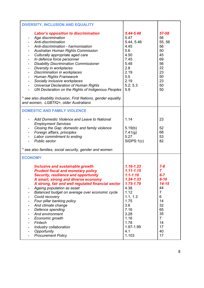| DIVERSITY, INCLUSION AND EQUALITY                                                                                                                                                                                                                                                                                                                                                                                                                                                                                                                                                                                                                                                                                                                                                                                                                      |                                                                                                                                                                                          |                                                                                                                                                 |
|--------------------------------------------------------------------------------------------------------------------------------------------------------------------------------------------------------------------------------------------------------------------------------------------------------------------------------------------------------------------------------------------------------------------------------------------------------------------------------------------------------------------------------------------------------------------------------------------------------------------------------------------------------------------------------------------------------------------------------------------------------------------------------------------------------------------------------------------------------|------------------------------------------------------------------------------------------------------------------------------------------------------------------------------------------|-------------------------------------------------------------------------------------------------------------------------------------------------|
| <b>Labor's opposition to discrimination</b><br>Age discrimination<br>-<br>Anti-discrimination<br>$\blacksquare$<br>Anti-discrimination - harmonisation<br>Australian Human Rights Commission<br>Culturally appropriate aged care<br>In defence force personnel<br>$\frac{1}{2}$<br><b>Disability Discrimination Commissioner</b><br>$\qquad \qquad \blacksquare$<br>Diversity in workplaces<br>$\qquad \qquad \blacksquare$<br>Discrimination in workplaces<br>$\qquad \qquad \blacksquare$<br><b>Human Rights Framework</b><br>$\frac{1}{2}$<br>Socially inclusive workplaces<br>$\blacksquare$<br><b>Universal Declaration of Human Rights</b><br>$\blacksquare$<br>UN Declaration on the Rights of Indigenous Peoples<br>$\blacksquare$<br>* see also disability inclusion, First Nations, gender equality<br>and women, LGBTIQ+, older Australians | 5.44-5.48<br>5.47<br>5.44, 5.46<br>4.45<br>5.6<br>4.50<br>7.45<br>5.48<br>2.8<br>2.19<br>5.5<br>2.19<br>5.2; 5.3<br>5.9                                                                  | 57-58<br>56<br>55, 56<br>56<br>50<br>45<br>69<br>56<br>22<br>23<br>50<br>23<br>50<br>50                                                         |
| <b>DOMESTIC AND FAMILY VIOLENCE</b>                                                                                                                                                                                                                                                                                                                                                                                                                                                                                                                                                                                                                                                                                                                                                                                                                    |                                                                                                                                                                                          |                                                                                                                                                 |
| Add Domestic Violence and Leave to National<br><b>Employment Services</b><br>Closing the Gap: domestic and family violence<br>$\blacksquare$<br>Foreign affairs, principles<br>$\blacksquare$<br>Labor commitment to ending<br><b>Public sector</b><br>* see also families, social security, gender and women                                                                                                                                                                                                                                                                                                                                                                                                                                                                                                                                          | 1.14<br>5.19(b)<br>7.41(g)<br>5.27<br>SIDPS:1(c)                                                                                                                                         | 23<br>52<br>68<br>53<br>82                                                                                                                      |
| <b>ECONOMY</b>                                                                                                                                                                                                                                                                                                                                                                                                                                                                                                                                                                                                                                                                                                                                                                                                                                         |                                                                                                                                                                                          |                                                                                                                                                 |
| <b>Inclusive and sustainable growth</b><br><b>Prudent fiscal and monetary policy</b><br><b>Security, resilience and opportunity</b><br>A smart, strong and diverse economy<br>A strong, fair and well regulated financial sector<br>Ageing population as asset<br>Balanced budget on average over economic cycle<br>Covid recovery<br>Four pillar banking policy<br>And climate change<br>Defence spending<br>-<br>And environment<br>Economic growth<br>-<br>Fintech<br>Industry collaboration<br>Opportunity<br><b>Procurement Policy</b>                                                                                                                                                                                                                                                                                                            | $1.16 - 1.23$<br>$1.11 - 1.15$<br>$1.1 - 1.10$<br>$1.24 - 1.33$<br>$1.75 - 1.79$<br>4.38<br>1.12<br>1.1, 1.3<br>1.75<br>3.6<br>7.16<br>3.28<br>1.16<br>1.78<br>1.97-1.99<br>4.1<br>1.103 | $7 - 8$<br>7<br>$6 - 7$<br>$8 - 10$<br>$14 - 15$<br>44<br>$\overline{7}$<br>6<br>14<br>32<br>65<br>35<br>$\overline{7}$<br>14<br>17<br>40<br>17 |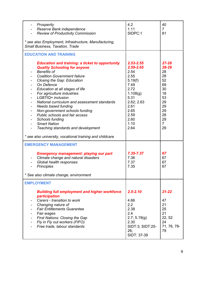| Prosperity<br>Reserve Bank independence<br><b>Review of Productivity Commission</b>                                                                                                                                                                                                                                                                                                                                                                                                                                                                        | 4.2<br>1.11<br>SIDPC:1                                                                                                                                      | 40<br>$\overline{7}$<br>81                                                                                         |
|------------------------------------------------------------------------------------------------------------------------------------------------------------------------------------------------------------------------------------------------------------------------------------------------------------------------------------------------------------------------------------------------------------------------------------------------------------------------------------------------------------------------------------------------------------|-------------------------------------------------------------------------------------------------------------------------------------------------------------|--------------------------------------------------------------------------------------------------------------------|
| * see also Employment, Infrastructure, Manufacturing,<br>Small Business, Taxation, Trade                                                                                                                                                                                                                                                                                                                                                                                                                                                                   |                                                                                                                                                             |                                                                                                                    |
| <b>EDUCATION AND TRAINING</b>                                                                                                                                                                                                                                                                                                                                                                                                                                                                                                                              |                                                                                                                                                             |                                                                                                                    |
| <b>Education and training: a ticket to opportunity</b><br><b>Quality Schooling for anyone</b><br><b>Benefits of</b><br><b>Coalition Government failure</b><br>Closing the Gap: Education<br>On Defence<br>Education at all stages of life<br>For agriculture industries<br>LGBTIQ+ inclusion<br>National curriculum and assessment standards<br><b>Needs based funding</b><br>-<br>Non-government schools funding<br>-<br>Public schools and fair access<br>Schools funding<br>$\blacksquare$<br><b>Smart Nation</b><br>Teaching standards and development | $2.53 - 2.55$<br>$2.59 - 2.65$<br>2.54<br>2.55<br>5.19(f)<br>7.49<br>2.72<br>1.108(g)<br>5.31<br>2.62; 2.63<br>2.61<br>2.65<br>2.59<br>2.60<br>1.10<br>2.64 | $27 - 28$<br>28-29<br>28<br>28<br>52<br>69<br>30<br>18<br>53<br>29<br>29<br>29<br>28<br>29<br>$\overline{7}$<br>29 |
| * see also university, vocational training and childcare                                                                                                                                                                                                                                                                                                                                                                                                                                                                                                   |                                                                                                                                                             |                                                                                                                    |
| <b>EMERGENCY MANAGEMENT</b><br><b>Emergency management: playing our part</b><br>Climate change and natural disasters<br>Global health responses<br><b>Principles</b><br>See also climate change, environment                                                                                                                                                                                                                                                                                                                                               | 7.35-7.37<br>7.36<br>7.37<br>7.35                                                                                                                           | 67<br>67<br>67<br>67                                                                                               |
| <b>EMPLOYMENT</b>                                                                                                                                                                                                                                                                                                                                                                                                                                                                                                                                          |                                                                                                                                                             |                                                                                                                    |
| <b>Building full employment and higher workforce</b><br>participation<br>Carers - transition to work<br>Changing nature of<br><b>Fair Entitlements Guarantee</b><br>Fair wages<br><b>First Nations: Closing the Gap</b><br>Fly in Fly out workers (FIFO)<br>-<br>Free trade, labour standards                                                                                                                                                                                                                                                              | $2.5 - 2.10$<br>4.66<br>2.2<br>2.38<br>2.4<br>2.7; 5.19(g)<br>2.30<br>SIDT:3; SIDT:25-<br>26;<br>SIDT: 37-39                                                | $21 - 22$<br>47<br>21<br>25<br>21<br>22, 52<br>24<br>71, 76, 78-<br>79                                             |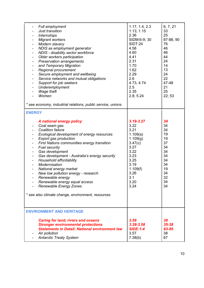| Full employment<br>-<br>Just transition<br><b>Internships</b><br>$\overline{\phantom{0}}$<br><b>Migrant workers</b><br>Modern slavery<br>NDIS as employment generator<br>NDIS - disability sector workforce<br>-<br>Older workers participation<br>$\blacksquare$<br><b>Preservation arrangements</b><br>-<br>and Temporary Migration<br>-<br>Regional procurement<br>-<br>Secure employment and wellbeing<br>-<br>Service networks and mutual obligations<br>-<br>Support for job seekers<br>-<br>Underemployment<br>-<br>Wage theft<br>Women<br>* see economy, industrial relations, public service, unions | 1.17, 1.4, 2.3<br>1.13, 1.15<br>2.36<br>SIDM:6-9; 30<br><b>SIDT:24</b><br>4.58<br>4.60<br>4.41<br>2.31<br>1.70<br>1.62<br>2.29<br>2.6<br>4.73, 4.74<br>2.5<br>2.35<br>2.8; 5.24 | 6, 7, 21<br>33<br>25<br>87-88, 90<br>76<br>46<br>46<br>44<br>24<br>14<br>13<br>24<br>22<br>47-48<br>21<br>25<br>22; 53 |
|---------------------------------------------------------------------------------------------------------------------------------------------------------------------------------------------------------------------------------------------------------------------------------------------------------------------------------------------------------------------------------------------------------------------------------------------------------------------------------------------------------------------------------------------------------------------------------------------------------------|---------------------------------------------------------------------------------------------------------------------------------------------------------------------------------|------------------------------------------------------------------------------------------------------------------------|
| <b>ENERGY</b>                                                                                                                                                                                                                                                                                                                                                                                                                                                                                                                                                                                                 |                                                                                                                                                                                 |                                                                                                                        |
| A national energy policy<br>Coal seam gas<br><b>Coalition failure</b><br>Ecological development of energy resources<br>Export gas production<br>First Nations communities energy transition<br><b>Fuel security</b><br>Gas development<br>-<br>Gas development - Australia's energy security<br>$\blacksquare$<br>Household affordability<br>$\blacksquare$<br>Modernisation<br>National energy market<br>New low pollution energy - research<br>$\blacksquare$<br>Renewable energy<br>Renewable energy equal access<br>Renewable Energy Zones<br>* see also climate change, environment, resources           | $3.19 - 3.27$<br>3.22<br>3.21<br>1.109(a)<br>1.109(g)<br>3.47(c)<br>3.27<br>3.22<br>3.23<br>3.25<br>3.19<br>1.109(f)<br>3.26<br>3.1<br>3.20<br>3.24                             | 34<br>34<br>34<br>19<br>19<br>37<br>34<br>34<br>34<br>34<br>34<br>19<br>34<br>32<br>34<br>34                           |
| <b>ENVIRONMENT AND HERITAGE</b>                                                                                                                                                                                                                                                                                                                                                                                                                                                                                                                                                                               |                                                                                                                                                                                 |                                                                                                                        |
| <b>Caring for land, rivers and oceans</b><br><b>Stronger environmental protections</b><br><b>Statements in Detail: National environment law</b><br>Air pollution<br><b>Antarctic Treaty System</b>                                                                                                                                                                                                                                                                                                                                                                                                            | 3.59<br>3.28-3.58<br><b>SIDE:1-4</b><br>3.57<br>7.38(b)                                                                                                                         | 38<br>$35 - 38$<br>83-85<br>38<br>67                                                                                   |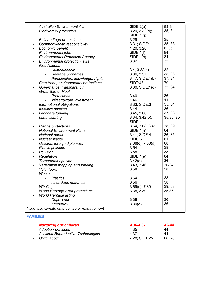| <b>FAMILIES</b>          | <b>Nurturing our children</b><br><b>Adoption practices</b><br><b>Assisted Reproductive Technologies</b><br>Child labour | 4.30-4.37<br>4.35<br>4.37<br>7.28; SIDT:25 | 43-44<br>44<br>44<br>66,76 |
|--------------------------|-------------------------------------------------------------------------------------------------------------------------|--------------------------------------------|----------------------------|
|                          | * see also climate change, water management                                                                             |                                            |                            |
|                          | Kimberley                                                                                                               | 3.39(a)                                    | 36                         |
|                          | Cape York                                                                                                               | 3.38                                       | 36                         |
|                          | <b>World Heritage listing</b>                                                                                           |                                            |                            |
|                          | World Heritage Area protections                                                                                         | 3.35, 3.39                                 | 35,36                      |
|                          | Whaling                                                                                                                 | $3.69(c)$ , $7.39$                         | 39,68                      |
|                          | hazardous materials                                                                                                     | 3.56                                       | 38                         |
|                          | <b>Plastics</b>                                                                                                         | 3.54                                       | 38                         |
|                          | Waste                                                                                                                   |                                            |                            |
|                          | <b>Volunteers</b>                                                                                                       | 3.58                                       | 38                         |
| $\overline{\phantom{0}}$ | Vegetation mapping and funding                                                                                          | 3.43, 3.46                                 | 36-37                      |
| $\blacksquare$           | <b>Threatened species</b>                                                                                               | 3.42(a)                                    | 36                         |
| $\blacksquare$           | Regulation                                                                                                              | SIDE:1(e)                                  | 84                         |
| $\overline{\phantom{a}}$ | Pollution                                                                                                               | 3.55                                       | 38                         |
| ۰                        | Plastic pollution                                                                                                       | 3.54                                       | 38                         |
|                          | Oceans, foreign diplomacy                                                                                               | $7.38(c)$ , $7.38(d)$                      | 68                         |
|                          | Nuclear waste                                                                                                           | SIDU:6                                     | 81                         |
| $\blacksquare$           | <b>National parks</b>                                                                                                   | 3.41; SIDE:4                               | 36, 85                     |
| $\blacksquare$           | <b>National Environment Plans</b>                                                                                       | SIDE:1(h)                                  | 84                         |
| $\blacksquare$           | <b>Marine protections</b>                                                                                               | 3.54, 3.68, 3.41                           | 38, 39                     |
|                          | Land clearing                                                                                                           | 3.34, 3.42(b);<br>SIDE:4                   |                            |
| $\blacksquare$           |                                                                                                                         |                                            | 35,36,85                   |
| $\blacksquare$           | Landcare funding                                                                                                        | 3.45, 3.60                                 | 37, 38                     |
| -                        | Invasive species                                                                                                        | 3.44                                       | 36                         |
|                          | International obligations                                                                                               | 3.33; SIDE:3                               | 35, 84                     |
|                          | infrastructure investment                                                                                               | 1.46                                       | 11                         |
|                          | <b>Protections</b><br>$\sim$                                                                                            | 3.40                                       | 36                         |
|                          | <b>Great Barrier Reef</b>                                                                                               |                                            |                            |
| $\blacksquare$           | Governance, transparency                                                                                                | $3.30,$ SIDE: $1(d)$                       | 35, 84                     |
| $\blacksquare$           | Free trade, environmental protections                                                                                   | <b>SIDT:43</b>                             | 79                         |
|                          | Heritage properties<br>$\sim 100$<br>Participation, knowledge, rights                                                   | 3.47, SIDE:1(b)                            | 37, 84                     |
|                          | Custodianship                                                                                                           | 3.4, 3.32(a)<br>3.36, 3.37                 | 35, 36                     |
|                          |                                                                                                                         |                                            | 32                         |
|                          | <b>Environmental protection laws</b><br><b>First Nations</b>                                                            |                                            |                            |
| $\blacksquare$           | <b>Environmental Protection Agency</b>                                                                                  | 3.32                                       | 35                         |
| $\blacksquare$           | Environmental jobs                                                                                                      | SIDE:1(c)                                  | 84                         |
| $\blacksquare$           |                                                                                                                         | SIDE:1(f)                                  | 84                         |
| $\blacksquare$           | Commonwealth responsibility<br><b>Economic benefit</b>                                                                  | 1.20, 3.28                                 | 8,35                       |
| ۰                        |                                                                                                                         | 3.31; SIDE:1                               | 35, 83                     |
|                          | <b>Built heritage protections</b>                                                                                       | 3.29                                       | 35                         |
|                          | <b>Biodiversity protection</b>                                                                                          | 3.29, 3.32(d);<br>SIDE:1(g)                | 35, 84                     |
|                          | <b>Australian Environment Act</b>                                                                                       | SIDE:2(a)                                  | 83-84                      |
|                          |                                                                                                                         |                                            |                            |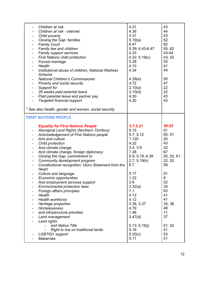| Children at risk<br>Children at risk - internet<br>Child poverty<br>۰<br>Closing the Gap: families<br><b>Family Court</b><br>٠<br>Family law and children<br>٠<br>Family support services<br>$\blacksquare$<br><b>First Nations child protection</b><br>Forced marriage<br>Health<br>Institutional abuse of children, National Redress<br><b>Scheme</b><br><b>National Children's Commissioner</b><br>$\overline{\phantom{a}}$ | 4.31<br>4.36<br>4.31<br>5.19(a)<br>6.47<br>5.39; 6.43-6.47<br>4.33<br>4.32; 5.19(c)<br>5.28<br>4.10<br>4.34<br>4.39(e) | 43<br>44<br>43<br>52<br>62<br>55, 62<br>43-44<br>43, 52<br>53<br>41<br>44<br>55 |
|--------------------------------------------------------------------------------------------------------------------------------------------------------------------------------------------------------------------------------------------------------------------------------------------------------------------------------------------------------------------------------------------------------------------------------|------------------------------------------------------------------------------------------------------------------------|---------------------------------------------------------------------------------|
| Poverty and social security<br>$\blacksquare$<br>Support for<br>$\blacksquare$<br>26 weeks paid parental leave<br>$\blacksquare$<br>Paid parental leave and partner pay<br>$\qquad \qquad \blacksquare$<br><b>Targeted financial support</b>                                                                                                                                                                                   | 4.72<br>2.10(a)<br>2.10(d)<br>4.30<br>4.30                                                                             | 47<br>22<br>22<br>43<br>43                                                      |
| * See also health, gender and women, social security                                                                                                                                                                                                                                                                                                                                                                           |                                                                                                                        |                                                                                 |
| <b>FIRST NATIONS PEOPLE</b>                                                                                                                                                                                                                                                                                                                                                                                                    |                                                                                                                        |                                                                                 |
| <b>Equality for First Nations People</b><br>Aboriginal Land Rights (Northern Territory)<br>۰<br>Acknowledgement of First Nations people<br>٠<br>Arts and culture<br>۰<br>Child protection<br>And climate change<br>And climate change, foreign diplomacy<br>Closing the Gap, commitment to<br>Community development program<br>Constitutional recognition; Uluru Statement from the<br>Heart                                   | $5.7 - 5.21$<br>5.15<br>5.7; 5.12<br>1.120<br>4.32<br>3.4, 3.9<br>7.38<br>5.9; 5.19; 6.39<br>2.7; 5.19(h)<br>6.7       | 50-52<br>51<br>50, 51<br>20<br>43<br>32<br>67<br>50, 52, 61<br>22, 52<br>58     |
| <b>Culture and language</b><br>$\blacksquare$<br>Economic opportunities<br>And employment services support<br>Environmental protection laws<br>Foreign affairs principles<br>Health<br>Health workforce<br>Heritage properties<br>Homelessness<br>and infrastructure priorities<br>Land management<br>Land rights                                                                                                              | 5.17<br>1.22<br>2.6<br>3.32(a)<br>7.1<br>4.12<br>4.12<br>3.36, 3.37<br>4.79<br>1.46<br>3.47(d)                         | 51<br>8<br>22<br>35<br>63<br>41<br>41<br>35, 36<br>48<br>11<br>37               |
| and Native Title<br>Right to live on traditional lands<br>LGBTIQ+ support<br>Makarrata                                                                                                                                                                                                                                                                                                                                         | 5.13; 5.19(j)<br>5.16<br>5.30(c)<br>5.11                                                                               | 51, 52<br>51<br>53<br>51                                                        |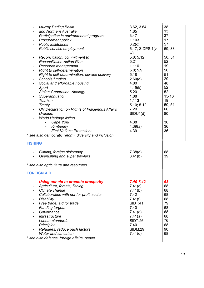| <b>Murray Darling Basin</b><br>and Northern Australia<br>Participation in environmental programs<br>Procurement policy<br>$\overline{\phantom{a}}$<br><b>Public institutions</b><br>$\blacksquare$<br>Public service employment<br>Reconciliation, commitment to<br><b>Reconciliation Action Plan</b><br>Resource management<br>Right to self-determination<br>Right to self-determination; service delivery<br>Schools funding<br>Social and affordable housing<br>Sport<br><b>Stolen Generation: Apology</b><br>Superannuation<br>Tourism<br>Treaty<br>UN Declaration on Rights of Indigenous Affairs<br>Uranium<br><b>World Heritage listing</b><br>Cape York<br>$\overline{\phantom{0}}$<br>Kimberley<br>$\blacksquare$<br><b>First Nations Protections</b><br>* see also democratic reform, diversity and inclusion<br><b>FISHING</b><br>Fishing, foreign diplomacy<br>Overfishing and super trawlers<br>* see also agriculture and resources | 3.62, 3.64<br>1.65<br>3.47<br>1.103<br>6.2(c)<br>6.17; SIDPS:1(v-<br>w)<br>5.8; 5.12<br>5.21<br>1.110<br>5.8; 5.9<br>5.18<br>2.60(d)<br>4.80<br>4.19(k)<br>5.20<br>1.88<br>1.113<br>5.10; 5.12<br>7.29<br>SIDU1(d)<br>4.38<br>4.39(a)<br>4.39<br>7.38(d)<br>3.41(b) | 38<br>13<br>37<br>17<br>57<br>59, 83<br>50, 51<br>52<br>19<br>50<br>51<br>29<br>48<br>52<br>52<br>$15 - 16$<br>19<br>50, 51<br>66<br>80<br>36<br>36<br>36<br>68<br>39 |
|----------------------------------------------------------------------------------------------------------------------------------------------------------------------------------------------------------------------------------------------------------------------------------------------------------------------------------------------------------------------------------------------------------------------------------------------------------------------------------------------------------------------------------------------------------------------------------------------------------------------------------------------------------------------------------------------------------------------------------------------------------------------------------------------------------------------------------------------------------------------------------------------------------------------------------------------------|---------------------------------------------------------------------------------------------------------------------------------------------------------------------------------------------------------------------------------------------------------------------|-----------------------------------------------------------------------------------------------------------------------------------------------------------------------|
| <b>FOREIGN AID</b>                                                                                                                                                                                                                                                                                                                                                                                                                                                                                                                                                                                                                                                                                                                                                                                                                                                                                                                                 |                                                                                                                                                                                                                                                                     |                                                                                                                                                                       |
| Using our aid to promote prosperity<br>Agriculture, forests, fishing<br>۰<br>Climate change<br>۰<br>Collaboration with not-for-profit sector<br><b>Disability</b><br>Free trade, aid for trade<br><b>Funding targets</b><br>Governance<br><b>Infrastructure</b><br>Labour standards<br>Principles<br>۰<br>Refugees, reduce push factors<br>Water and sanitation<br>* see also defence, foreign affairs, peace                                                                                                                                                                                                                                                                                                                                                                                                                                                                                                                                      | 7.40-7.42<br>7.41(c)<br>7.41(b)<br>7.42<br>7.41(f)<br><b>SIDT:41</b><br>7.40<br>7.41(e)<br>7.41(a)<br>SIDT:26<br>7.40<br><b>SIDM:29</b><br>7.41(d)                                                                                                                  | 68<br>68<br>68<br>68<br>68<br>79<br>68<br>68<br>68<br>76<br>68<br>90<br>68                                                                                            |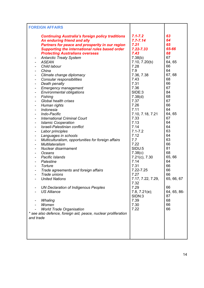| <b>FOREIGN AFFAIRS</b>                                                                                                                                                                                                                                                                                                                                                                                                                                                                                                                                                                                                                                                                                                                                                                                                                                                                                                                                                                                                                                                                                                                                                                                                                                                                                                                                                                                                                                                                                                                                                                                            |                                                                                                                                                                                                                                                                                                                                                                                                                                             |                                                                                                                                                                                                                                                                                |
|-------------------------------------------------------------------------------------------------------------------------------------------------------------------------------------------------------------------------------------------------------------------------------------------------------------------------------------------------------------------------------------------------------------------------------------------------------------------------------------------------------------------------------------------------------------------------------------------------------------------------------------------------------------------------------------------------------------------------------------------------------------------------------------------------------------------------------------------------------------------------------------------------------------------------------------------------------------------------------------------------------------------------------------------------------------------------------------------------------------------------------------------------------------------------------------------------------------------------------------------------------------------------------------------------------------------------------------------------------------------------------------------------------------------------------------------------------------------------------------------------------------------------------------------------------------------------------------------------------------------|---------------------------------------------------------------------------------------------------------------------------------------------------------------------------------------------------------------------------------------------------------------------------------------------------------------------------------------------------------------------------------------------------------------------------------------------|--------------------------------------------------------------------------------------------------------------------------------------------------------------------------------------------------------------------------------------------------------------------------------|
| <b>Continuing Australia's foreign policy traditions</b><br>An enduring friend and ally<br>Partners for peace and prosperity in our region<br><b>Supporting the international rules based order</b><br><b>Protecting Australians overseas</b><br><b>Antarctic Treaty System</b><br>٠<br><b>ASEAN</b><br>$\blacksquare$<br>Child labour<br>China<br>$\blacksquare$<br>Climate change diplomacy<br>$\qquad \qquad \blacksquare$<br>Consular responsibilities<br>$\blacksquare$<br>Death penalty<br>$\blacksquare$<br><b>Emergency management</b><br>۰<br><b>Environmental obligations</b><br>$\qquad \qquad \blacksquare$<br>Fishing<br>$\blacksquare$<br><b>Global health crises</b><br>$\blacksquare$<br>Human rights<br>$\blacksquare$<br>Indonesia<br>$\qquad \qquad \blacksquare$<br>Indo-Pacific<br>$\blacksquare$<br><b>International Criminal Court</b><br>$\blacksquare$<br><b>Islamic Cooperation</b><br>$\blacksquare$<br>Israeli-Palestinian conflict<br>$\overline{\phantom{a}}$<br>Labor principles<br>Languages in schools<br>$\qquad \qquad \blacksquare$<br>Multiculturalism, opportunities for foreign affairs<br>$\overline{\phantom{a}}$<br>Multilateralism<br>Nuclear disarmament<br>$\blacksquare$<br>Oceans<br>-<br>Pacific Islands<br>$\blacksquare$<br>Palestine<br>$\overline{\phantom{a}}$<br>Torture<br>Trade agreements and foreign affairs<br>Trade unions<br><b>United Nations</b><br>UN Declaration of Indigenous Peoples<br><b>US Alliance</b><br>Whaling<br>Women<br><b>World Trade Organisation</b><br>* see also defence, foreign aid, peace, nuclear proliferation<br>and trade | $7.1 - 7.2$<br>$7.7 - 7.14$<br>7.21<br>7.22-7.33<br>7.43<br>7.38(b)<br>7.10, 7.20(b)<br>7.28<br>7.9<br>7.36, 7.38<br>7.43<br>7.31<br>7.36<br>SIDE:3<br>7.38(d)<br>7.37<br>7.26<br>7.11<br>7.10, 7.18, 7.21<br>7.33<br>7.13<br>7.14<br>$7.1 - 7.2$<br>7.12<br>7.7<br>7.22<br>SIDU:5<br>7.38(c)<br>7.21(c), 7.30<br>7.14<br>7.31<br>7.22-7.25<br>7.27<br>7.17, 7.22, 7.29,<br>7.32<br>7.29<br>7.8, 7.21(e);<br>SIDN:3<br>7.39<br>7.30<br>7.22 | 63<br>64<br>65<br>65-66<br>68<br>67<br>64, 65<br>66<br>64<br>67,68<br>68<br>66<br>67<br>84<br>68<br>67<br>66<br>64<br>64, 65<br>67<br>64<br>64<br>63<br>64<br>63<br>66<br>81<br>68<br>65,66<br>64<br>66<br>66<br>66<br>65, 66, 67<br>66<br>64, 65, 86-<br>87<br>68<br>66<br>66 |
|                                                                                                                                                                                                                                                                                                                                                                                                                                                                                                                                                                                                                                                                                                                                                                                                                                                                                                                                                                                                                                                                                                                                                                                                                                                                                                                                                                                                                                                                                                                                                                                                                   |                                                                                                                                                                                                                                                                                                                                                                                                                                             |                                                                                                                                                                                                                                                                                |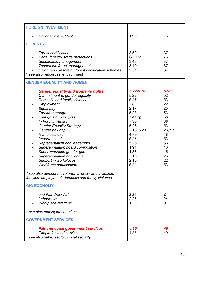| <b>FOREIGN INVESTMENT</b>                                                                                                                                                                                                                                                                                                                                                                                                                                                                                                                                                                                                                                                                                                                        |                                                                                                                                                           |                                                                                                                 |
|--------------------------------------------------------------------------------------------------------------------------------------------------------------------------------------------------------------------------------------------------------------------------------------------------------------------------------------------------------------------------------------------------------------------------------------------------------------------------------------------------------------------------------------------------------------------------------------------------------------------------------------------------------------------------------------------------------------------------------------------------|-----------------------------------------------------------------------------------------------------------------------------------------------------------|-----------------------------------------------------------------------------------------------------------------|
| <b>National interest test</b>                                                                                                                                                                                                                                                                                                                                                                                                                                                                                                                                                                                                                                                                                                                    | 1.96                                                                                                                                                      | 16                                                                                                              |
| <b>FORESTS</b>                                                                                                                                                                                                                                                                                                                                                                                                                                                                                                                                                                                                                                                                                                                                   |                                                                                                                                                           |                                                                                                                 |
| <b>Forest certification</b><br>Illegal forestry, trade protections<br>Sustainable management<br>Tasmanian forest management<br>Union reps on foreign forest certification schemes<br>* see also resources, environment                                                                                                                                                                                                                                                                                                                                                                                                                                                                                                                           | 3.50<br><b>SIDT:27</b><br>3.48<br>3.49<br>3.51                                                                                                            | 37<br>76<br>37<br>37<br>37                                                                                      |
| <b>GENDER EQUALITY AND WOMEN</b>                                                                                                                                                                                                                                                                                                                                                                                                                                                                                                                                                                                                                                                                                                                 |                                                                                                                                                           |                                                                                                                 |
| <b>Gender equality and women's rights</b><br>Commitment to gender equality<br>Domestic and family violence<br>Employment<br>Equal pay<br>Forced marriage<br>$\qquad \qquad \blacksquare$<br>Foreign aid, principles<br>-<br>In Foreign Affairs<br>$\blacksquare$<br><b>Gender Equality Strategy</b><br>$\qquad \qquad \blacksquare$<br>Gender pay gap<br>$\overline{\phantom{a}}$<br>Homelessness<br>$\overline{\phantom{a}}$<br>Importance of<br>Representation and leadership<br>Superannuation board composition<br>Superannuation gender gap<br>Superannuation and women<br>Support in workplaces<br>Workforce participation<br>* see also democratic reform, diversity and inclusion,<br>families, employment, domestic and family violence | 5.22-5.28<br>5.22<br>5.27<br>2.8<br>2.17<br>5.28<br>7.41(g)<br>7.30<br>5.26<br>2.16; 5.23<br>4.79<br>5.23<br>5.25<br>1.91<br>1.88<br>2.18<br>2.10<br>5.24 | 52-53<br>52<br>53<br>22<br>23<br>53<br>68<br>66<br>53<br>23, 53<br>48<br>53<br>53<br>16<br>15<br>23<br>22<br>53 |
| <b>GIG ECONOMY</b>                                                                                                                                                                                                                                                                                                                                                                                                                                                                                                                                                                                                                                                                                                                               |                                                                                                                                                           |                                                                                                                 |
| and Fair Work Act<br>Labour hire<br><b>Workplace relations</b>                                                                                                                                                                                                                                                                                                                                                                                                                                                                                                                                                                                                                                                                                   | 2.28<br>2.25<br>1.30                                                                                                                                      | 24<br>24<br>9                                                                                                   |
| * see also employment, unions                                                                                                                                                                                                                                                                                                                                                                                                                                                                                                                                                                                                                                                                                                                    |                                                                                                                                                           |                                                                                                                 |
| <b>GOVERNMENT SERVICES</b>                                                                                                                                                                                                                                                                                                                                                                                                                                                                                                                                                                                                                                                                                                                       |                                                                                                                                                           |                                                                                                                 |
| <b>Fair and equal government services</b><br>People focused services<br>* see also public sector, social security                                                                                                                                                                                                                                                                                                                                                                                                                                                                                                                                                                                                                                | 4.86<br>4.86                                                                                                                                              | 49<br>49                                                                                                        |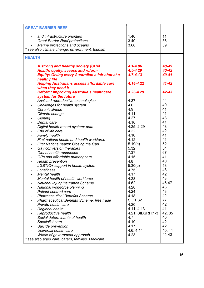| <b>GREAT BARRIER REEF</b>                                                                                                                                                                                                                                                                                                                                                                                                                                                                                                                                                                                                                                                                                                                                                                                                                                                                                                                                                                                                                           |                                                                                                                                                                                                                                                                  |                                                                                                                                                                             |
|-----------------------------------------------------------------------------------------------------------------------------------------------------------------------------------------------------------------------------------------------------------------------------------------------------------------------------------------------------------------------------------------------------------------------------------------------------------------------------------------------------------------------------------------------------------------------------------------------------------------------------------------------------------------------------------------------------------------------------------------------------------------------------------------------------------------------------------------------------------------------------------------------------------------------------------------------------------------------------------------------------------------------------------------------------|------------------------------------------------------------------------------------------------------------------------------------------------------------------------------------------------------------------------------------------------------------------|-----------------------------------------------------------------------------------------------------------------------------------------------------------------------------|
| and infrastructure priorities<br><b>Great Barrier Reef protections</b><br>Marine protections and oceans<br>* see also climate change, environment, tourism                                                                                                                                                                                                                                                                                                                                                                                                                                                                                                                                                                                                                                                                                                                                                                                                                                                                                          | 1.46<br>3.40<br>3.68                                                                                                                                                                                                                                             | 11<br>36<br>39                                                                                                                                                              |
| <b>HEALTH</b>                                                                                                                                                                                                                                                                                                                                                                                                                                                                                                                                                                                                                                                                                                                                                                                                                                                                                                                                                                                                                                       |                                                                                                                                                                                                                                                                  |                                                                                                                                                                             |
| A strong and healthy society (CH4)<br>Health: equity, access and reform<br><b>Equity: Giving every Australian a fair shot at a</b><br>healthy life<br><b>Helping Australians access affordable care</b><br>when they need it                                                                                                                                                                                                                                                                                                                                                                                                                                                                                                                                                                                                                                                                                                                                                                                                                        | $4.1 - 4.86$<br>$4.5 - 4.29$<br>$4.7 - 4.13$<br>4.14-4.22                                                                                                                                                                                                        | 40-49<br>40-42<br>40-41<br>$41 - 42$                                                                                                                                        |
| <b>Reform: Improving Australia's healthcare</b>                                                                                                                                                                                                                                                                                                                                                                                                                                                                                                                                                                                                                                                                                                                                                                                                                                                                                                                                                                                                     | 4.23-4.29                                                                                                                                                                                                                                                        | 42-43                                                                                                                                                                       |
| system for the future<br>Assisted reproductive technologies<br>Challenges for health system<br>Chronic illness<br>Climate change<br>Cloning<br>$\overline{\phantom{0}}$<br>Dental care<br>Digital health record system; data<br>End of life care<br><b>Family health</b><br>First nations health and health workforce<br>First Nations health: Closing the Gap<br>Gay conversion therapies<br>$\overline{\phantom{a}}$<br>Global health responses<br>$\qquad \qquad \blacksquare$<br>GPs and affordable primary care<br>$\qquad \qquad \blacksquare$<br><b>Health prevention</b><br>$\blacksquare$<br>LGBTIQ+ support in health system<br>$\qquad \qquad \blacksquare$<br>Loneliness<br><b>Mental health</b><br>Mental health of health workforce<br>National Injury Insurance Scheme<br>National workforce planning<br><b>Patient centred care</b><br><b>Pharmaceutical Benefits Scheme</b><br>Pharmaceutical Benefits Scheme, free trade<br>Private health care<br><b>Regional health</b><br>Reproductive health<br>Social determinants of health | 4.37<br>4.6<br>4.9<br>4.11<br>4.27<br>4.16<br>4.25; 2.29<br>4.22<br>4.10<br>4.12<br>5.19(e)<br>5.32<br>7.37<br>4.15<br>4.8<br>5.30(c)<br>4.75<br>4.17<br>4.28<br>4.62<br>4.28<br>4.24<br>4.18<br><b>SIDT:32</b><br>4.20<br>4.11, 4.13<br>4.21; SIDSRH:1-3<br>4.7 | 44<br>40<br>41<br>41<br>43<br>41<br>43<br>42<br>41<br>41<br>52<br>54<br>67<br>41<br>40<br>53<br>48<br>42<br>43<br>46-47<br>43<br>43<br>42<br>77<br>42<br>41<br>42, 85<br>40 |
| Specialist care<br>Suicide prevention<br>Universal health care<br>Whole of government approach<br>* see also aged care, carers, families, Medicare                                                                                                                                                                                                                                                                                                                                                                                                                                                                                                                                                                                                                                                                                                                                                                                                                                                                                                  | 4.19<br>4.17<br>4.6, 4.14<br>4.23                                                                                                                                                                                                                                | 42<br>42<br>40, 41<br>42-43                                                                                                                                                 |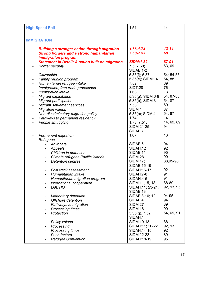| <b>High Speed Rail</b>                                                                                                               | 1.51                           | 14              |
|--------------------------------------------------------------------------------------------------------------------------------------|--------------------------------|-----------------|
| <b>IMMIGRATION</b>                                                                                                                   |                                |                 |
| <b>Building a stronger nation through migration</b><br><b>Strong borders and a strong humanitarian</b><br><i>immigration program</i> | 1.66-1.74<br>7.50-7.53         | $13 - 14$<br>69 |
| <b>Statement in Detail: A nation built on migration</b>                                                                              | <b>SIDM:1-32</b>               | 87-91           |
| <b>Border security</b>                                                                                                               | 7.5, 7.50;<br><b>SIDAB:1-2</b> | 63, 69          |
| Citizenship                                                                                                                          | $5.35(f)$ ; 5.37               | 54; 54-55       |
| Family reunion program                                                                                                               | 5.35(e); SIDM:14               | 54, 88          |
| Humanitarian refugee intake<br>$\qquad \qquad \blacksquare$                                                                          | 7.52                           | 69              |
| Immigration, free trade protections<br>$\qquad \qquad \blacksquare$                                                                  | <b>SIDT:28</b>                 | 76              |
| Immigration intake<br>$\overline{\phantom{a}}$                                                                                       | 1.68                           | 13              |
| <b>Migrant exploitation</b><br>$\blacksquare$                                                                                        | 5.35(g); SIDM:6-9              | 54, 87-88       |
| <b>Migrant participation</b><br>$\blacksquare$                                                                                       | 5.35(b); SIDM:3                | 54, 87          |
| <b>Migrant settlement services</b><br>$\qquad \qquad \blacksquare$                                                                   | 7.53                           | 69              |
| <b>Migration values</b>                                                                                                              | SIDM:4                         | 87              |
| Non-discriminatory migration policy                                                                                                  | 5.35(c); SIDM:4                | 54, 87          |
| Pathways to permanent residency<br>$\qquad \qquad \blacksquare$                                                                      | 1.74                           | 14              |
| People smuggling                                                                                                                     | 1.73, 7.51,                    | 14, 69, 89,     |
|                                                                                                                                      | SIDM:21-25;                    | 94              |
|                                                                                                                                      | SIDAB:7                        |                 |
| <b>Permanent migration</b>                                                                                                           | 1.67                           | 13              |
| Refugees,                                                                                                                            |                                |                 |
| Advocate                                                                                                                             | SIDAB:6                        | 94              |
| Appeals                                                                                                                              | SIDAH:12                       | 92              |
| Children in detention                                                                                                                | SIDAB:11                       | 95              |
| Climate refugees Pacific islands                                                                                                     | <b>SIDM:28</b>                 | 90              |
| <b>Detention centres</b>                                                                                                             | SIDM:17;                       | 88,95-96        |
|                                                                                                                                      | SIDAB:15-19                    |                 |
| <b>Fast track assessment</b>                                                                                                         | SIDAH: 16-17                   | 92              |
| Humanitarian intake                                                                                                                  | SIDAH: 7-8                     | 91              |
| Humanitarian migration program                                                                                                       | SIDAH:4-5                      | 91              |
| international cooperation                                                                                                            | SIDM:11,15, 18                 | 88-89           |
| LGBTIQ+                                                                                                                              | SIDAH:11; 23-24;<br>SIDAB:13   | 92, 93, 95      |
|                                                                                                                                      | SIDAB:8-10; 12                 | 94-95           |
| <b>Mandatory detention</b><br>$\blacksquare$                                                                                         | SIDAB:4                        | 94              |
| Offshore detention<br>Pathways to migration                                                                                          | <b>SIDM:27</b>                 | 89              |
| <b>Processing times</b>                                                                                                              | <b>SIDM:16</b>                 | 90              |
| Protection                                                                                                                           | $5.35(g)$ , $7.52$ ;           | 54, 69, 91      |
|                                                                                                                                      | SIDAH:1                        |                 |
| <b>Policy values</b><br>$\blacksquare$                                                                                               | SIDM:10-13                     | 88              |
| Processing                                                                                                                           | SIDAH:11; 20-22                | 92, 93          |
| <b>Processing times</b>                                                                                                              | SIDAH: 14-15                   | 92              |
| <b>Push factors</b>                                                                                                                  | SIDM:22-23                     | 89              |
| <b>Refugee Convention</b>                                                                                                            | SIDAH: 18-19                   | 95              |
|                                                                                                                                      |                                |                 |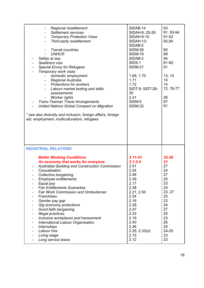| Regional resettlement<br><b>Settlement services</b><br><b>Temporary Protection Visas</b><br>Third party resettlement<br>$\blacksquare$<br><b>Transit countries</b><br>$\blacksquare$<br><b>UNHCR</b><br>Safety at sea<br>Seafarers visa<br>$\overline{\phantom{a}}$<br><b>Special Envoy for Refugees</b><br>Temporary work visas<br>domestic employment<br>Regional Australia<br><b>Protections for workers</b><br>$\blacksquare$<br>Labour market testing and skills<br>assessments<br><b>Worker rights</b><br>$\blacksquare$<br><b>Trans-Tasman Travel Arrangements</b><br>United Nations Global Compact on Migration | SIDAB:14<br>SIDAH:6; 25-29<br>SIDAH: 9-10<br>SIDAH:13;<br>SIDAB:5<br><b>SIDM:26</b><br><b>SIDM:19</b><br>SIDAB:3<br><b>SIDS:1</b><br><b>SIDM:31</b><br>1.69, 1.70<br>1.71<br>1.72<br>SIDT:9; SIDT:28-<br>30<br>2.41<br>SIDM:5<br><b>SIDM:32</b> | 93<br>91, 93-94<br>91-02<br>92,94<br>90<br>89<br>94<br>81-82<br>91<br>13, 14<br>14<br>14<br>72, 76-77<br>26<br>87<br>91 |
|-------------------------------------------------------------------------------------------------------------------------------------------------------------------------------------------------------------------------------------------------------------------------------------------------------------------------------------------------------------------------------------------------------------------------------------------------------------------------------------------------------------------------------------------------------------------------------------------------------------------------|-------------------------------------------------------------------------------------------------------------------------------------------------------------------------------------------------------------------------------------------------|-------------------------------------------------------------------------------------------------------------------------|
| * see also diversity and inclusion, foreign affairs, foreign<br>aid, employment, multiculturalism, refugees                                                                                                                                                                                                                                                                                                                                                                                                                                                                                                             |                                                                                                                                                                                                                                                 |                                                                                                                         |
| <b>INDUSTRIAL RELATIONS</b><br><b>Better Working Conditions</b><br>An economy that works for everyone<br>Australian Building and Construction Commission<br>Casualisation<br>Collective bargaining                                                                                                                                                                                                                                                                                                                                                                                                                      | $2.11 - 41$<br>$2.1 - 2.4$<br>2.51<br>2.24<br>2.48                                                                                                                                                                                              | $22 - 26$<br>21<br>27<br>24                                                                                             |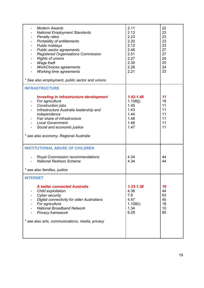| <b>Modern Awards</b><br><b>National Employment Standards</b><br><b>Penalty rates</b><br>Portability of entitlements<br><b>Public holidays</b><br>Public sector agreements<br><b>Registered Organisations Commission</b><br><b>Rights of unions</b><br>Wage theft<br><b>WorkChoices agreements</b><br><b>Working time agreements</b><br>* See also employment, public sector and unions | 2.11<br>2.13<br>2.23<br>2.20<br>2.12<br>2.49<br>2.51<br>2.27<br>2.35<br>2.26<br>2.21 | 22<br>23<br>23<br>23<br>23<br>27<br>27<br>24<br>25<br>24<br>23 |
|----------------------------------------------------------------------------------------------------------------------------------------------------------------------------------------------------------------------------------------------------------------------------------------------------------------------------------------------------------------------------------------|--------------------------------------------------------------------------------------|----------------------------------------------------------------|
| <b>INFRASTRUCTURE</b>                                                                                                                                                                                                                                                                                                                                                                  |                                                                                      |                                                                |
| <b>Investing in infrastructure development</b><br>For agriculture<br>Construction jobs<br>Infrastructure Australia leadership and<br>independence<br>Fair share of infrastructure<br><b>Local Government</b><br>Social and economic justice<br>* see also economy, Regional Australia                                                                                                  | $1.42 - 1.48$<br>1.108(j)<br>1.45<br>1.43<br>1.44<br>1.48<br>1.46<br>1.47            | 11<br>18<br>11<br>11<br>11<br>11<br>11<br>11                   |
| <b>INSTITUTIONAL ABUSE OF CHILDREN</b>                                                                                                                                                                                                                                                                                                                                                 |                                                                                      |                                                                |
| <b>Royal Commission recommendations</b><br><b>National Redress Scheme</b>                                                                                                                                                                                                                                                                                                              | 4.34<br>4.34                                                                         | 44<br>44                                                       |
| * see also families, justice                                                                                                                                                                                                                                                                                                                                                           |                                                                                      |                                                                |
| <b>INTERNET</b><br><b>A better connected Australia</b><br>Child exploitation<br>Cyber security<br><b>Digital connectivity for older Australians</b><br>For agriculture<br><b>National Broadband Network</b><br><b>Privacy framework</b><br>* see also arts, communications, media, privacy                                                                                             | $1.33 - 1.38$<br>4.36<br>7.6<br>4.47<br>1.108(i)<br>1.34<br>6.29                     | 10<br>44<br>63<br>45<br>18<br>10<br>60                         |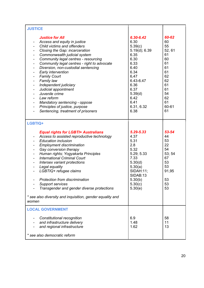| <b>JUSTICE</b>                                                                                                                                                                                                                                                                                                                                                                                                                                                                                                                                                                                                      |                                                                                                                                                                                |                                                                                                                    |
|---------------------------------------------------------------------------------------------------------------------------------------------------------------------------------------------------------------------------------------------------------------------------------------------------------------------------------------------------------------------------------------------------------------------------------------------------------------------------------------------------------------------------------------------------------------------------------------------------------------------|--------------------------------------------------------------------------------------------------------------------------------------------------------------------------------|--------------------------------------------------------------------------------------------------------------------|
| <b>Justice for All</b><br>Access and equity in justice<br>Child victims and offenders<br>Ξ.<br>Closing the Gap: incarceration<br>Commonwealth judicial system<br>Community legal centres - resourcing<br>Community legal centres - right to advocate<br>Diversion, non-custodial sentencing<br>Early intervention<br><b>Family Court</b><br><b>Family law</b><br>Independent judiciary<br>$\overline{\phantom{0}}$<br>Judicial appointment<br>Juvenile crime<br>Law reform<br>Mandatory sentencing - oppose<br>Principles of justice, purpose<br>$\qquad \qquad \blacksquare$<br>Sentencing, treatment of prisoners | 6.30-6.42<br>6.30<br>5.39(c)<br>$5.19(d)$ ; 6.39<br>6.35<br>6.30<br>6.33<br>6.40<br>6.34<br>6,47<br>6.43-6.47<br>6.36<br>6.37<br>5.39(d)<br>6.42<br>6.41<br>6.31, 6.32<br>6.38 | 60-62<br>60<br>55<br>52, 61<br>61<br>60<br>61<br>61<br>61<br>62<br>62<br>61<br>61<br>54<br>62<br>61<br>60-61<br>61 |
| LGBTIQ+                                                                                                                                                                                                                                                                                                                                                                                                                                                                                                                                                                                                             |                                                                                                                                                                                |                                                                                                                    |
| <b>Equal rights for LGBTI+ Australians</b><br>Access to assisted reproductive technology<br><b>Education inclusion</b><br><b>Employment discrimination</b><br>Gay conversion therapy<br>Human rights; Yogyakarta Principles<br><b>International Criminal Court</b><br>Intersex variant protections<br>Legal equality<br>$\qquad \qquad \blacksquare$<br>LGBTIQ+ refugee claims<br>$\overline{\phantom{0}}$<br>Protection from discrimination<br><b>Support services</b><br>Transgender and gender diverse protections<br>* see also diversity and inquisition, gender equality and<br>women                         | 5.29-5.33<br>4.37<br>5.31<br>2.8<br>5.32<br>5.29; 5.33<br>7.33<br>5.30(d)<br>5.30(a)<br><b>SIDAH:11;</b><br>SIDAB:13<br>5.30(b)<br>5.30(c)<br>5.30(e)                          | 53-54<br>44<br>53<br>22<br>54<br>53; 54<br>67<br>53<br>53<br>91,95<br>53<br>53<br>53                               |
| <b>LOCAL GOVERNMENT</b>                                                                                                                                                                                                                                                                                                                                                                                                                                                                                                                                                                                             |                                                                                                                                                                                |                                                                                                                    |
| Constitutional recognition<br>and infrastructure delivery<br>and regional infrastructure<br>* see also democratic reform                                                                                                                                                                                                                                                                                                                                                                                                                                                                                            | 6.9<br>1.48<br>1.62                                                                                                                                                            | 58<br>11<br>13                                                                                                     |
|                                                                                                                                                                                                                                                                                                                                                                                                                                                                                                                                                                                                                     |                                                                                                                                                                                |                                                                                                                    |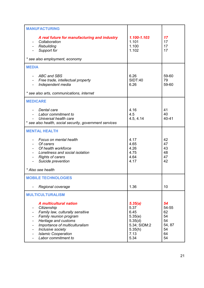| <b>MANUFACTURING</b>                                                                                                                                                                                                                           |                                                                                          |                                                           |
|------------------------------------------------------------------------------------------------------------------------------------------------------------------------------------------------------------------------------------------------|------------------------------------------------------------------------------------------|-----------------------------------------------------------|
| A real future for manufacturing and industry<br>Collaboration<br>Rebuilding<br>Support for<br>* see also employment, economy                                                                                                                   | 1.100-1.103<br>1.101<br>1.100<br>1.102                                                   | 17<br>17<br>17<br>17                                      |
|                                                                                                                                                                                                                                                |                                                                                          |                                                           |
| <b>MEDIA</b><br><b>ABC and SBS</b><br>Free trade, intellectual property<br>Independent media<br>* see also arts, communications, internet                                                                                                      | 6.26<br><b>SIDT:40</b><br>6.26                                                           | 59-60<br>79<br>59-60                                      |
|                                                                                                                                                                                                                                                |                                                                                          |                                                           |
| <b>MEDICARE</b><br>Dental care<br>Labor commitment to<br>Universal health care<br>* see also health, social security, government services                                                                                                      | 4.16<br>4.5<br>4.5, 4.14                                                                 | 41<br>40<br>40-41                                         |
| <b>MENTAL HEALTH</b>                                                                                                                                                                                                                           |                                                                                          |                                                           |
| Focus on mental health<br>- Of carers<br>Of health workforce<br>Loneliness and social isolation<br><b>Rights of carers</b><br>Suicide prevention<br>* Also see health                                                                          | 4.17<br>4.65<br>4.26<br>4.75<br>4.64<br>4.17                                             | 42<br>47<br>43<br>48<br>47<br>42                          |
|                                                                                                                                                                                                                                                |                                                                                          |                                                           |
| <b>MOBILE TECHNOLOGIES</b><br>Regional coverage                                                                                                                                                                                                | 1.36                                                                                     | 10                                                        |
| <b>MULTICULTURALISM</b>                                                                                                                                                                                                                        |                                                                                          |                                                           |
| <b>A</b> multicultural nation<br>Citizenship<br>Family law, culturally sensitive<br>Family reunion program<br>Heritage and customs<br>Importance of multiculturalism<br>Inclusive society<br><b>Islamic Cooperation</b><br>Labor commitment to | 5.35(a)<br>5.37<br>6.45<br>5.35(e)<br>5.35(d)<br>5.34; SIDM:2<br>5.35(h)<br>7.13<br>5.34 | 54<br>54-55<br>62<br>54<br>54<br>54, 87<br>54<br>64<br>54 |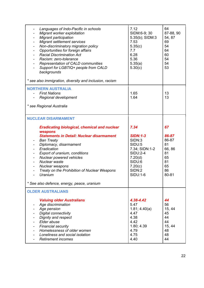| Languages of Indo-Pacific in schools<br>Migrant worker exploitation<br>Migrant participation<br>$\qquad \qquad \blacksquare$<br>Migrant settlement services<br>$\overline{\phantom{a}}$<br>Non-discriminatory migration policy<br>$\qquad \qquad \blacksquare$<br>Opportunities for foreign affairs<br>$\qquad \qquad \blacksquare$<br><b>Racial Discrimination Act</b><br>$\qquad \qquad \blacksquare$<br>Racism: zero-tolerance<br>Representation of CALD communities<br>Support for LGBTIQ+ people from CALD<br>backgrounds<br>* see also immigration, diversity and inclusion, racism | 7.12<br>SIDM:6-9; 30<br>5.35(b); SIDM:3<br>7.53<br>5.35(c)<br>7.7<br>6.28<br>5.36<br>5.35(a)<br>5.30(c)                                | 64<br>87-88, 90<br>54, 87<br>69<br>54<br>64<br>60<br>54<br>54<br>53        |
|-------------------------------------------------------------------------------------------------------------------------------------------------------------------------------------------------------------------------------------------------------------------------------------------------------------------------------------------------------------------------------------------------------------------------------------------------------------------------------------------------------------------------------------------------------------------------------------------|----------------------------------------------------------------------------------------------------------------------------------------|----------------------------------------------------------------------------|
| <b>NORTHERN AUSTRALIA</b><br><b>First Nations</b><br>Regional development<br>* see Regional Australia                                                                                                                                                                                                                                                                                                                                                                                                                                                                                     | 1.65<br>1.64                                                                                                                           | 13<br>13                                                                   |
| <b>NUCLEAR DISARMAMENT</b><br><b>Eradicating biological, chemical and nuclear</b><br>weapons<br><b>Statements in Detail: Nuclear disarmament</b><br><b>Ban Treaty</b><br>Diplomacy, disarmament<br>Eradication<br>Export of uranium, conditions<br>Nuclear powered vehicles<br>$\blacksquare$<br>Nuclear waste<br>$\qquad \qquad \blacksquare$<br>Nuclear weapons<br>Treaty on the Prohibition of Nuclear Weapons<br>Uranium<br>* See also defence, energy, peace, uranium                                                                                                                | 7.34<br><b>SIDN:1-3</b><br>SIDN:3<br>SIDU:5<br>7.34; SIDN:1-2<br><b>SIDU:2-4</b><br>7.20(d)<br>SIDU:6<br>7.20(c)<br>SIDN:2<br>SIDU:1-6 | 67<br>86-87<br>86-87<br>81<br>66,86<br>81<br>65<br>81<br>65<br>86<br>80-81 |
| <b>OLDER AUSTRALIANS</b><br><b>Valuing older Australians</b><br>Age discrimination<br>Age pension<br><b>Digital connectivity</b><br>Dignity and respect<br>Elder abuse<br><b>Financial security</b><br>Homelessness of older women                                                                                                                                                                                                                                                                                                                                                        | 4.38-4.42<br>5.47<br>1.81; 4.40(a)<br>4.47<br>4.38<br>4.42<br>1.80; 4.39                                                               | 44<br>56<br>15, 44<br>45<br>44<br>44<br>15, 44                             |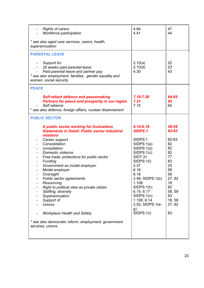| <b>Rights of carers</b><br>Workforce participation                                                                                                                                                                                                                                                                                                                                                                                                                                                                                                                                      | 4.64<br>4.41                                                                                                                                                                                                                                                               | 47<br>44                                                                                                                                |
|-----------------------------------------------------------------------------------------------------------------------------------------------------------------------------------------------------------------------------------------------------------------------------------------------------------------------------------------------------------------------------------------------------------------------------------------------------------------------------------------------------------------------------------------------------------------------------------------|----------------------------------------------------------------------------------------------------------------------------------------------------------------------------------------------------------------------------------------------------------------------------|-----------------------------------------------------------------------------------------------------------------------------------------|
| * see also aged care services, carers, health,<br>superannuation                                                                                                                                                                                                                                                                                                                                                                                                                                                                                                                        |                                                                                                                                                                                                                                                                            |                                                                                                                                         |
| <b>PARENTAL LEAVE</b>                                                                                                                                                                                                                                                                                                                                                                                                                                                                                                                                                                   |                                                                                                                                                                                                                                                                            |                                                                                                                                         |
| Support for<br>۰<br>26 weeks paid parental leave<br>Paid parental leave and partner pay<br>* see also employment, families, gender equality and<br>women, social security                                                                                                                                                                                                                                                                                                                                                                                                               | 2.10(a)<br>2.10(d)<br>4.30                                                                                                                                                                                                                                                 | 22<br>22<br>43                                                                                                                          |
| <b>PEACE</b>                                                                                                                                                                                                                                                                                                                                                                                                                                                                                                                                                                            |                                                                                                                                                                                                                                                                            |                                                                                                                                         |
| <b>Self-reliant defence and peacemaking</b><br><b>Partners for peace and prosperity in our region</b><br>Self reliance<br>* see also defence, foreign affairs, nuclear disarmament                                                                                                                                                                                                                                                                                                                                                                                                      | $7.15 - 7.20$<br>7.21<br>7.15                                                                                                                                                                                                                                              | 64-65<br>65<br>64                                                                                                                       |
| <b>PUBLIC SECTOR</b>                                                                                                                                                                                                                                                                                                                                                                                                                                                                                                                                                                    |                                                                                                                                                                                                                                                                            |                                                                                                                                         |
| A public sector working for Australians<br><b>Statements in Detail: Public sector industrial</b><br><b>relations</b><br>Career support<br>Consolidation<br>consultation<br>Domestic violence<br>Free trade, protections for public sector<br>Funding<br>Ξ.<br>Government as model employer<br>Model employer<br>Oversight<br>Public sector agreements<br>Resourcing<br>Right to political view as private citizen<br>Staffing; diversity<br>Superannuation<br>Support of<br><b>Unions</b><br><b>Workplace Health and Safety</b><br>* see also democratic reform, employment, government | $6.14 - 6.18$<br><b>SIDPS:1</b><br>SIDPS:1<br>SIDPS:1(a)<br>SIDPS:1(d)<br>SIDPS:1(c)<br><b>SIDT:31</b><br>SIDPS:1(I)<br>2.37<br>6.16<br>6.18<br>2.49, SIDPS:1(b)<br>1.106<br>SIDPS:1(h)<br>6.15; 6.17<br>SIDPS:1(n)<br>1.106; 6.14<br>2.52; SIDPS:1(e-<br>g)<br>SIDPS:1(i) | 58-59<br>82-83<br>82-83<br>82<br>82<br>82<br>77<br>83<br>25<br>58<br>59<br>27, 82<br>18<br>82<br>58, 59<br>83<br>18, 58<br>27, 82<br>83 |
| services, unions                                                                                                                                                                                                                                                                                                                                                                                                                                                                                                                                                                        |                                                                                                                                                                                                                                                                            |                                                                                                                                         |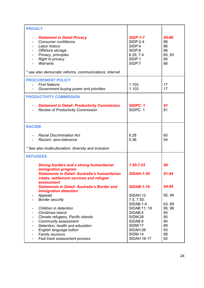| <b>PRIVACY</b>                                                                                                                                                                                                                                                                      |                                                                                                                          |                                                      |
|-------------------------------------------------------------------------------------------------------------------------------------------------------------------------------------------------------------------------------------------------------------------------------------|--------------------------------------------------------------------------------------------------------------------------|------------------------------------------------------|
| <b>Statement in Detail Privacy</b><br>Consumer confidence<br>Labor history<br>Offshore storage<br>Privacy, principles<br><b>Right to privacy</b><br><b>Warrants</b><br>* see also democratic reforms, communications, internet                                                      | <b>SIDP:1-7</b><br><b>SIDP:2-4</b><br>SIDP:4<br>SIDP:6<br>6.29, 7.4<br>SIDP:1<br>SIDP:7                                  | 85-86<br>86<br>86<br>86<br>60, 63<br>85<br>86        |
| <b>PROCUREMENT POLICY</b>                                                                                                                                                                                                                                                           |                                                                                                                          |                                                      |
| <b>First Nations</b><br>Government buying power and priorities                                                                                                                                                                                                                      | 1.103<br>1.103                                                                                                           | 17<br>17                                             |
| <b>PRODUCTIVITY COMMISSION</b>                                                                                                                                                                                                                                                      |                                                                                                                          |                                                      |
| <b>Statement in Detail: Productivity Commission</b><br><b>Review of Productivity Commission</b>                                                                                                                                                                                     | <b>SIDPC: 1</b><br>SIDPC: 1                                                                                              | 81<br>81                                             |
| <b>RACISM</b>                                                                                                                                                                                                                                                                       |                                                                                                                          |                                                      |
| <b>Racial Discrimination Act</b><br>Racism: zero-tolerance                                                                                                                                                                                                                          | 6.28<br>5.36                                                                                                             | 60<br>54                                             |
| * See also multiculturalism, diversity and inclusion                                                                                                                                                                                                                                |                                                                                                                          |                                                      |
| <b>REFUGEES</b>                                                                                                                                                                                                                                                                     |                                                                                                                          |                                                      |
| <b>Strong borders and a strong humanitarian</b><br><i>immigration program</i>                                                                                                                                                                                                       | $7.50 - 7.53$                                                                                                            | 69                                                   |
| <b>Statements in Detail: Australia's humanitarian</b><br>intake, settlement services and refugee<br>assessment                                                                                                                                                                      | <b>SIDAH:1-29</b>                                                                                                        | 91-94                                                |
| <b>Statements in Detail: Australia's Border and</b>                                                                                                                                                                                                                                 | <b>SIDAB:1-19</b>                                                                                                        | 94-95                                                |
| <b>Immigration detention</b><br>Appeals<br>$\qquad \qquad \blacksquare$                                                                                                                                                                                                             | SIDAH:12                                                                                                                 | 92, 94                                               |
| <b>Border security</b>                                                                                                                                                                                                                                                              | 7.5, 7.50;                                                                                                               |                                                      |
| Children in detention<br>Christmas Island<br>Climate refugees, Pacific islands<br>٠<br>Community assessment<br>۰<br>Detention, health and education<br>$\blacksquare$<br>English language tuition<br>$\overline{\phantom{0}}$<br><b>Family reunions</b><br>$\overline{\phantom{0}}$ | <b>SIDAB:1-4</b><br>SIDAB:11; 19<br>SIDAB:4<br><b>SIDM:28</b><br>SIDAB:9<br><b>SIDM:17</b><br>SIDAH:26<br><b>SIDM:14</b> | 63, 69<br>95, 96<br>94<br>90<br>94<br>88<br>93<br>88 |
| Fast track assessment process<br>٠                                                                                                                                                                                                                                                  | SIDAH: 16-17                                                                                                             | 92                                                   |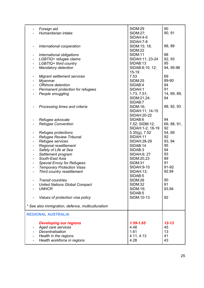|                          | Foreign aid<br>Humanitarian intake                   | SIDM:29<br>SIDM:27;            | 90<br>90, 91 |
|--------------------------|------------------------------------------------------|--------------------------------|--------------|
|                          |                                                      | <b>SIDAH:4-5</b>               |              |
|                          |                                                      | SIDAH: 7-8                     |              |
|                          | International cooperation                            | SIDM:15; 18;<br><b>SIDM:22</b> | 88, 89       |
| $\blacksquare$           | International obligations                            | <b>SIDM:11</b>                 | 88           |
|                          | LGBTIQ+ refugee claims                               | SIDAH:11; 23-24                | 92, 93       |
| $\blacksquare$           | LGBTIQ+ third country                                | SIDAB:13                       | 95           |
|                          | <b>Mandatory detention</b>                           | SIDAB:8;10; 12;<br>$15 - 19$   | 94, 95-96    |
| $\blacksquare$           | <b>Migrant settlement services</b>                   | 7.53                           | 69           |
| $\blacksquare$           | <b>Myanmar</b>                                       | <b>SIDM:25</b>                 | 89-90        |
|                          | Offshore detention                                   | SIDAB:4                        | 94           |
|                          | Permanent protection for refugees                    | SIDAH:1                        | 91           |
|                          | People smuggling                                     | 1.73, 7.51;                    | 14, 69, 89,  |
|                          |                                                      | SIDM:21,24:                    | 94           |
|                          |                                                      | SIDAB:7                        |              |
|                          | Processing times and criteria                        | SIDM:16;                       | 88, 92, 93   |
|                          |                                                      | SIDAH:11, 14-15                |              |
|                          |                                                      | SIDAH: 20-22                   |              |
| $\blacksquare$           | Refugee advocate                                     | SIDAB:6                        | 94           |
|                          | <b>Refugee Convention</b>                            | 7.52; SIDM:12;                 | 69, 88, 91,  |
|                          |                                                      | SIDAH:1-2, 18-19               | 92           |
| $\blacksquare$           | Refugee protections                                  | $5.35(g)$ , $7.52$             | 54,69        |
|                          | <b>Refugee Review Tribunal</b>                       | SIDAH:11                       | 92           |
|                          | Refugee services                                     | SIDAH: 28-29                   | 93, 94       |
|                          | Regional resettlement                                | SIDAB:14                       | 95           |
| $\blacksquare$           | Safety of Life at Sea                                | SIDAB:3                        | 94           |
| $\blacksquare$           | Settlement program                                   | SIDAH:6; 27                    | 93           |
|                          | South-East Asia                                      | SIDM:20,23                     | 89           |
| $\overline{\phantom{0}}$ | <b>Special Envoy for Refugees</b>                    | <b>SIDM:31</b>                 | 91           |
| $\blacksquare$           | <b>Temporary Protection Visas</b>                    | SIDAH: 9-10                    | 91-92        |
|                          | Third country resettlement                           | SIDAH:13;                      | 92,94        |
|                          |                                                      | SIDAB:5<br><b>SIDM:26</b>      | 90           |
|                          | <b>Transit countries</b>                             | <b>SIDM:32</b>                 | 91           |
|                          | <b>United Nations Global Compact</b><br><b>UNHCR</b> | SIDM:19;                       | 93,94        |
|                          |                                                      | SIDAB:5                        |              |
|                          | Values of protection visa policy                     | SIDM:10-13                     | 92           |
|                          |                                                      |                                |              |
|                          | * See also immigration, defence, multiculturalism    |                                |              |
|                          | <b>REGIONAL AUSTRALIA</b>                            |                                |              |
|                          | <b>Developing our regions</b>                        | 1.59-1.65                      | $12 - 13$    |
|                          | Aged care services                                   | 4.48                           | 45           |
|                          | Decentralisation                                     | 1.61                           | 13           |
|                          | Health in the regions                                | 4.11, 4.13                     | 41           |
|                          | Health workforce in regions                          | 4.28                           | 43           |
|                          |                                                      |                                |              |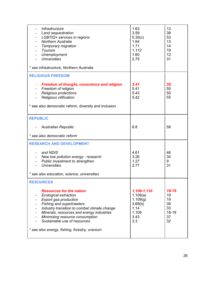| <i><b>Infrastructure</b></i><br>Land sequestration<br>LGBTIQ+ services in regions<br><b>Northern Australia</b><br>Temporary migration<br>Tourism<br>Unemployment<br><b>Universities</b><br>* see infrastructure, Northern Australia                                                                                                                                      | 1.63<br>3.59<br>5.30(c)<br>1.64<br>1.71<br>1.112<br>1.60<br>2.75               | 13<br>38<br>53<br>13<br>14<br>19<br>12<br>31       |
|--------------------------------------------------------------------------------------------------------------------------------------------------------------------------------------------------------------------------------------------------------------------------------------------------------------------------------------------------------------------------|--------------------------------------------------------------------------------|----------------------------------------------------|
| <b>RELIGIOUS FREEDOM</b><br><b>Freedom of thought, conscience and religion</b><br>Freedom of religion<br><b>Religious protections</b><br><b>Religious vilification</b><br>* see also democratic reform, diversity and inclusion                                                                                                                                          | 5.41<br>5.41<br>5.43<br>5.42                                                   | 55<br>55<br>55<br>55                               |
| <b>REPUBLIC</b><br><b>Australian Republic</b><br>* see also democratic reform                                                                                                                                                                                                                                                                                            | 6.8                                                                            | 58                                                 |
| <b>RESEARCH AND DEVELOPMENT</b><br>and NDIS<br>New low pollution energy - research<br>Public investment to strengthen<br><b>Universities</b><br>* see also education, science, universities                                                                                                                                                                              | 4.61<br>3.26<br>1.27<br>2.77                                                   | 46<br>34<br>9<br>31                                |
| <b>RESOURCES</b><br><b>Resources for the nation</b><br><b>Ecological extraction</b><br><b>Export gas production</b><br><b>Fishing and supertrawlers</b><br>Industry transition to combat climate change<br>Minerals, resources and energy industries<br>Minimising resource consumption<br>Sustainable use of resources<br>* see also energy, fishing, forestry, uranium | 1.109-1.110<br>1.109(a)<br>1.109(g)<br>3.69(b)<br>1.14<br>1.109<br>3.43<br>3.3 | 18-19<br>19<br>19<br>39<br>33<br>18-19<br>37<br>32 |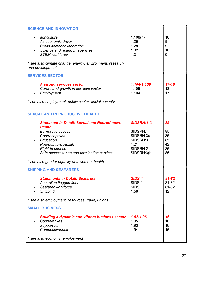| <b>SCIENCE AND INNOVATION</b><br>agriculture<br>As economic driver<br>- Cross-sector collaboration<br>Science and research agencies<br><b>STEM workforce</b><br>* see also climate change, energy, environment, research<br>and development | 1.108(h)<br>1.26<br>1.28<br>1.32<br>1.31 | 18<br>9<br>9<br>10<br>9 |
|---------------------------------------------------------------------------------------------------------------------------------------------------------------------------------------------------------------------------------------------|------------------------------------------|-------------------------|
| <b>SERVICES SECTOR</b><br>A strong services sector                                                                                                                                                                                          | 1.104-1.108                              | $17 - 18$               |
| Carers and growth in services sector<br>Employment                                                                                                                                                                                          | 1.105<br>1.104                           | 18<br>17                |
| * see also employment, public sector, social security                                                                                                                                                                                       |                                          |                         |
| <b>SEXUAL AND REPRODUCTIVE HEALTH</b><br><b>Statement in Detail: Sexual and Reproductive</b>                                                                                                                                                | <b>SIDSRH:1-3</b>                        | 85                      |
| <b>Health</b>                                                                                                                                                                                                                               |                                          |                         |
| <b>Barriers to access</b><br>Contraceptives                                                                                                                                                                                                 | SIDSRH:1<br>SIDSRH:3(a)                  | 85<br>85                |
| Education                                                                                                                                                                                                                                   | SIDSRH:3<br>4.21                         | 85                      |
| <b>Reproductive Health</b><br><b>Right to choose</b><br>$\frac{1}{2}$                                                                                                                                                                       | SIDSRH:2                                 | 42<br>85                |
| Safe access zones and termination services                                                                                                                                                                                                  | SIDSRH:3(b)                              | 85                      |
| * see also gender equality and women, health                                                                                                                                                                                                |                                          |                         |
| <b>SHIPPING AND SEAFARERS</b>                                                                                                                                                                                                               |                                          |                         |
| <b>Statements in Detail: Seafarers</b>                                                                                                                                                                                                      | <b>SIDS:1</b>                            | 81-82                   |
| Australian flagged fleet<br>Seafarer workforce                                                                                                                                                                                              | SIDS:1<br><b>SIDS:1</b>                  | 81-82<br>81-82          |
| <b>Shipping</b>                                                                                                                                                                                                                             | 1.58                                     | 12                      |
| * see also employment, resources, trade, unions                                                                                                                                                                                             |                                          |                         |
| <b>SMALL BUSINESS</b>                                                                                                                                                                                                                       |                                          |                         |
| <b>Building a dynamic and vibrant business sector</b>                                                                                                                                                                                       | 1.92-1.96                                | 16                      |
| Cooperatives<br>Support for                                                                                                                                                                                                                 | 1.95<br>1.93                             | 16<br>16                |
| Competitiveness                                                                                                                                                                                                                             | 1.94                                     | 16                      |
| * see also economy, employment                                                                                                                                                                                                              |                                          |                         |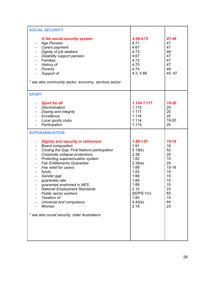| <b>SOCIAL SECURITY</b>                                                                                                                                                                                                                                                                                                                                                                                                                                                    |                                                                                                                                                  |                                                                                                            |
|---------------------------------------------------------------------------------------------------------------------------------------------------------------------------------------------------------------------------------------------------------------------------------------------------------------------------------------------------------------------------------------------------------------------------------------------------------------------------|--------------------------------------------------------------------------------------------------------------------------------------------------|------------------------------------------------------------------------------------------------------------|
| A fair social security system<br><b>Age Pension</b><br>$\qquad \qquad \blacksquare$<br>Carers payment<br>Dignity of job seekers<br>Disability support pension<br><b>Families</b><br>History of<br>Poverty<br>$\overline{\phantom{0}}$<br>Support of<br>* see also community sector, economy, services sector                                                                                                                                                              | 4.68-4.75<br>4.71<br>4.67<br>4.73<br>4.67<br>4.72<br>4.70<br>4.74<br>4.3, 4.68                                                                   | 47-48<br>47<br>47<br>48<br>47<br>47<br>47<br>48<br>40, 47                                                  |
| <b>SPORT</b>                                                                                                                                                                                                                                                                                                                                                                                                                                                              |                                                                                                                                                  |                                                                                                            |
| <b>Sport for all</b><br><b>Discrimination</b><br>Doping and integrity<br>Excellence<br>Local sports clubs<br>$\blacksquare$<br>Participation                                                                                                                                                                                                                                                                                                                              | 1.114-1.117<br>1.115<br>1.117<br>1.116<br>1.114<br>1.115                                                                                         | 19-20<br>20<br>20<br>20<br>19-20<br>20                                                                     |
| <b>SUPERANNUATION</b>                                                                                                                                                                                                                                                                                                                                                                                                                                                     |                                                                                                                                                  |                                                                                                            |
| <b>Dignity and security in retirement</b><br>٠<br><b>Board composition</b><br>Closing the Gap: First Nations participation<br>Corporate collapse protections<br>Protecting superannuation system<br><b>Fair Entitlements Guarantee</b><br>Fee relief for carers<br>funds<br>Gender gap<br>guarantee rate<br>guarantee enshrined in NES<br><b>National Employment Standards</b><br><b>Public sector workers</b><br><b>Taxation of</b><br>Universal and compulsory<br>Women | 1.80-1.91<br>1.91<br>5.19(k)<br>2.38<br>1.82<br>2.38(e)<br>1.88<br>1.83<br>1.88<br>1.85<br>1.86<br>2.15<br>SIDPS:1(n)<br>1.84<br>4.40(b)<br>2.18 | $15 - 16$<br>16<br>52<br>25<br>15<br>25<br>$15 - 16$<br>15<br>15<br>15<br>15<br>23<br>83<br>15<br>44<br>23 |
| * see also social security, older Australians                                                                                                                                                                                                                                                                                                                                                                                                                             |                                                                                                                                                  |                                                                                                            |
|                                                                                                                                                                                                                                                                                                                                                                                                                                                                           |                                                                                                                                                  |                                                                                                            |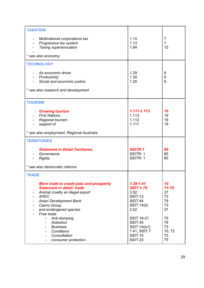| <b>TAXATION</b>                           |                    |                |
|-------------------------------------------|--------------------|----------------|
| Multinational corporations tax            | 1.14               | 7              |
| Progressive tax system                    | 1.13               | $\overline{7}$ |
| Taxing superannuation                     | 1.84               | 15             |
| * see also economy                        |                    |                |
| <b>TECHNOLOGY</b>                         |                    |                |
| As economic driver                        | 1.29               | 9              |
| Productivity                              | 1.30               | 9              |
| Social and economic justice               | 1.29               | 9              |
| * see also research and development       |                    |                |
| <b>TOURISM</b>                            |                    |                |
| <b>Growing tourism</b>                    | 1.111-1.113        | 19             |
| <b>First Nations</b>                      | 1.113              | 19             |
| <b>Regional tourism</b>                   | 1.112              | 19             |
| support of                                | 1.111              | 19             |
| * see also employment, Regional Australia |                    |                |
| <b>TERRITORIES</b>                        |                    |                |
| <b>Statement in Detail Territories</b>    | <b>SIDTR:1</b>     | 85             |
| Governance                                | SIDTR: 1           | 85             |
| <b>Rights</b>                             | SIDTR: 1           | 85             |
| * see also democratic reforms             |                    |                |
| <b>TRADE</b>                              |                    |                |
| More trade to create jobs and prosperity  | $1.39 - 1.41$      | 10             |
| <b>Statement in detail: trade</b>         | <b>SIDT:1-79</b>   | 71-79          |
| Animal cruelty an illegal export<br>۰     | 3.52               | 37             |
| <b>APEC</b>                               | <b>SIDT:13</b>     | 73             |
| Asian Development Bank                    | <b>SIDT:44</b>     | 79             |
| Cairns Group                              | SIDT:14(b)<br>3.52 | 73<br>37       |
| and endangered species<br>Free trade      |                    |                |
| Anti-dumping                              | SIDT:19-21         | 75             |
| Asbestos                                  | <b>SIDT:45</b>     | 79             |
| <b>Business</b><br>$\sim$                 | $SIDT:14(e-f)$     | 73             |
| Conditions<br>$\overline{\phantom{0}}$    | 1.41, SIDT:7       | 10, 72         |
| Consultation<br>$\blacksquare$            | <b>SIDT:15</b>     | 73             |
| consumer protection                       | <b>SIDT:23</b>     | 75             |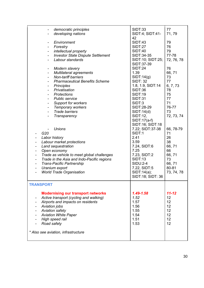| democratic principles<br>developing nations                                                                                                                                                                                                                                                                                                                                                                                                                                                                        | <b>SIDT:33</b><br>SIDT:4; SIDT:41-<br>42                                                                                                                                                             | 77<br>71,79                                                                                |
|--------------------------------------------------------------------------------------------------------------------------------------------------------------------------------------------------------------------------------------------------------------------------------------------------------------------------------------------------------------------------------------------------------------------------------------------------------------------------------------------------------------------|------------------------------------------------------------------------------------------------------------------------------------------------------------------------------------------------------|--------------------------------------------------------------------------------------------|
| Environment<br>$\overline{a}$<br>Forestry<br>-<br>intellectual property<br>-<br><b>Investor State Dispute Settlement</b><br>$\qquad \qquad \blacksquare$<br>Labour standards                                                                                                                                                                                                                                                                                                                                       | <b>SIDT:43</b><br><b>SIDT:27</b><br><b>SIDT:40</b><br>SIDT:34-35<br>SIDT:10; SIDT:25;<br>SIDT:37-39                                                                                                  | 79<br>76<br>79<br>77-78<br>72, 76, 78                                                      |
| Modern slavery<br>$\overline{\phantom{a}}$<br>Multilateral agreements<br>۰<br><b>Non-tariff barriers</b><br>$\qquad \qquad \blacksquare$<br><b>Pharmaceutical Benefits Scheme</b><br>$\qquad \qquad \blacksquare$<br><b>Principles</b><br>$\qquad \qquad \blacksquare$<br>Privatisation<br>$\qquad \qquad \blacksquare$<br><b>Protections</b><br>$\blacksquare$<br><b>Public service</b><br>$\qquad \qquad \blacksquare$<br>Support for workers<br>Temporary workers<br><b>Trade barriers</b><br>Transparency<br>۰ | <b>SIDT:24</b><br>1.39<br>SIDT:14(g)<br><b>SIDT: 32</b><br>1.8, 1.9, SIDT:14<br><b>SIDT:36</b><br><b>SIDT:19</b><br><b>SIDT:31</b><br>SIDT:3<br>SIDT:28-29<br>SIDT:14(d)<br>SIDT:12,<br>SIDT:17(a-f) | 76<br>66,71<br>73<br>77<br>6, 7, 73<br>78<br>75<br>77<br>71<br>76-77<br>73<br>72, 73, 74   |
| <b>Unions</b><br>G <sub>20</sub><br>$\overline{\phantom{a}}$<br>Labor history<br>Labour market protections<br>Land sequestration<br>Open economy<br>Trade as vehicle to meet global challenges<br>$\overline{\phantom{a}}$<br>Trade in the Asia and Indo-Pacific regions<br>$\overline{a}$<br><b>Trans-Pacific Partnership</b><br>-<br>Uranium export<br>۰<br><b>World Trade Organisation</b>                                                                                                                      | SIDT:16; SIDT:18<br>7.22; SIDT:37-38<br>SIDT:1<br>2.41<br>3.59<br>7.24, SIDT:6<br>7.25<br>7.23, SIDT:2<br><b>SIDT:13</b><br><b>SIDU:2-4</b><br>7.22, SIDT:5<br>SIDT:14(a);<br>SIDT:18; SIDT: 36      | 66, 78-79<br>71<br>26<br>38<br>66, 71<br>66<br>66,71<br>73<br>66,71<br>80-81<br>73, 74, 78 |
| <b>TRANSPORT</b>                                                                                                                                                                                                                                                                                                                                                                                                                                                                                                   |                                                                                                                                                                                                      |                                                                                            |
| <b>Modernising our transport networks</b><br>Active transport (cycling and walking)<br>Airports and impacts on residents<br>Aviation jobs<br><b>Aviation safety</b><br><b>Aviation White Paper</b><br>High speed rail<br>Road safety<br>* Also see aviation, infrastructure                                                                                                                                                                                                                                        | 1.49-1.58<br>1.52<br>1.57<br>1.56<br>1.55<br>1.54<br>1.51<br>1.53                                                                                                                                    | $11 - 12$<br>12<br>12<br>12<br>12<br>12<br>12<br>12                                        |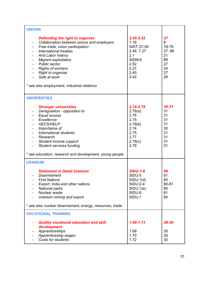| <b>UNIONS</b>                                                                                                                                                                                                                                                                                                                                               |                                                                                                    |                                                                 |
|-------------------------------------------------------------------------------------------------------------------------------------------------------------------------------------------------------------------------------------------------------------------------------------------------------------------------------------------------------------|----------------------------------------------------------------------------------------------------|-----------------------------------------------------------------|
| <b>Defending the right to organise</b><br>Collaboration between unions and employers<br>Free trade, union participation<br>International treaties<br><b>And Labor history</b><br><b>Migrant exploitation</b><br><b>Public sector</b><br><b>Rights of workers</b><br><b>Right to organise</b><br>Safe at work<br>* see also employment, industrial relations | $2.45 - 2.52$<br>1.18<br>SIDT:37-39<br>2.46, 7.27<br>2.1<br>SIDM:9<br>2.52<br>2.27<br>2.45<br>2.42 | 27<br>8<br>78-79<br>27,66<br>21<br>88<br>27<br>24<br>27<br>26   |
| <b>UNIVERSITIES</b>                                                                                                                                                                                                                                                                                                                                         |                                                                                                    |                                                                 |
| <b>Stronger universities</b><br>Deregulation - opposition to<br>Equal access<br>Excellence<br><b>HECS/HELP</b><br>Importance of<br>International students<br>Research<br>Student income support<br><b>Student services funding</b><br>* see education, research and development, young people                                                               | 2.74-2.78<br>2.76(a)<br>2.76<br>2.75<br>2.76(b)<br>2.74<br>2.75<br>2.77<br>2.76(c)<br>2.78         | $30 - 31$<br>31<br>31<br>31<br>31<br>30<br>31<br>31<br>31<br>31 |
| <b>URANIUM</b>                                                                                                                                                                                                                                                                                                                                              |                                                                                                    |                                                                 |
| <b>Statement in Detail Uranium</b><br><b>Disarmament</b><br><b>First Nations</b><br>Export, India and other nations<br><b>National parks</b><br>Nuclear waste<br>Uranium mining and export                                                                                                                                                                  | <b>SIDU:1-6</b><br>SIDU:5<br>SIDU:1(d)<br><b>SIDU:2-4</b><br>SIDU:1(e)<br>SIDU:6<br>SIDU:1         | 80<br>81<br>80<br>80-81<br>80<br>81<br>80                       |
| * see also nuclear disarmament, energy, resources, trade                                                                                                                                                                                                                                                                                                    |                                                                                                    |                                                                 |
| <b>VOCATIONAL TRAINING</b>                                                                                                                                                                                                                                                                                                                                  |                                                                                                    |                                                                 |
| <b>Quality vocational education and skill</b><br>development<br>Apprenticeships<br>Apprenticeship wages<br><b>Costs for students</b>                                                                                                                                                                                                                        | $1.66 - 1.73$<br>1.69<br>1.70<br>1.72                                                              | 29-30<br>30<br>30<br>30                                         |